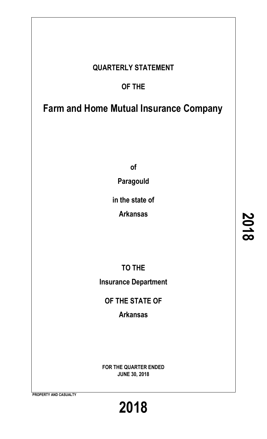# **QUARTERLY STATEMENT**

# **OF THE**

# **Farm and Home Mutual Insurance Company**

**of**

**Paragould**

**in the state of**

**Arkansas**

**TO THE Insurance Department**

**OF THE STATE OF**

**Arkansas**

**FOR THE QUARTER ENDED JUNE 30, 2018**

**PROPERTY AND CASUALTY**

**2018**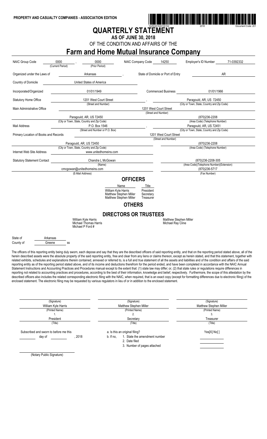

# **QUARTERLY STATEMENT**

**AS OF JUNE 30, 2018**

OF THE CONDITION AND AFFAIRS OF THE

## **Farm and Home Mutual Insurance Company**

| NAIC Group Code                                                                                                                                                                                                                                                                                                                                                                                                                                                                                                                                                                                                                                                                                                                                                                                                                                                                                                                                                                                                                                                                                                                                                                                                                                                                                                                                                                                                                                                                                                                                             | 0000<br>(Current Period) | 0000<br>(Prior Period)                                                  | NAIC Company Code                                                     | 14250                                         | Employer's ID Number                        | 71-0392332 |  |  |
|-------------------------------------------------------------------------------------------------------------------------------------------------------------------------------------------------------------------------------------------------------------------------------------------------------------------------------------------------------------------------------------------------------------------------------------------------------------------------------------------------------------------------------------------------------------------------------------------------------------------------------------------------------------------------------------------------------------------------------------------------------------------------------------------------------------------------------------------------------------------------------------------------------------------------------------------------------------------------------------------------------------------------------------------------------------------------------------------------------------------------------------------------------------------------------------------------------------------------------------------------------------------------------------------------------------------------------------------------------------------------------------------------------------------------------------------------------------------------------------------------------------------------------------------------------------|--------------------------|-------------------------------------------------------------------------|-----------------------------------------------------------------------|-----------------------------------------------|---------------------------------------------|------------|--|--|
| Organized under the Laws of                                                                                                                                                                                                                                                                                                                                                                                                                                                                                                                                                                                                                                                                                                                                                                                                                                                                                                                                                                                                                                                                                                                                                                                                                                                                                                                                                                                                                                                                                                                                 |                          | Arkansas                                                                |                                                                       | State of Domicile or Port of Entry            |                                             | AR         |  |  |
| Country of Domicile                                                                                                                                                                                                                                                                                                                                                                                                                                                                                                                                                                                                                                                                                                                                                                                                                                                                                                                                                                                                                                                                                                                                                                                                                                                                                                                                                                                                                                                                                                                                         |                          | United States of America                                                |                                                                       |                                               |                                             |            |  |  |
|                                                                                                                                                                                                                                                                                                                                                                                                                                                                                                                                                                                                                                                                                                                                                                                                                                                                                                                                                                                                                                                                                                                                                                                                                                                                                                                                                                                                                                                                                                                                                             |                          |                                                                         |                                                                       |                                               |                                             |            |  |  |
| Incorporated/Organized                                                                                                                                                                                                                                                                                                                                                                                                                                                                                                                                                                                                                                                                                                                                                                                                                                                                                                                                                                                                                                                                                                                                                                                                                                                                                                                                                                                                                                                                                                                                      |                          | 01/01/1949                                                              |                                                                       | <b>Commenced Business</b>                     | 01/01/1966                                  |            |  |  |
| <b>Statutory Home Office</b>                                                                                                                                                                                                                                                                                                                                                                                                                                                                                                                                                                                                                                                                                                                                                                                                                                                                                                                                                                                                                                                                                                                                                                                                                                                                                                                                                                                                                                                                                                                                |                          | 1201 West Court Street                                                  |                                                                       |                                               | Paragould, AR, US 72450                     |            |  |  |
|                                                                                                                                                                                                                                                                                                                                                                                                                                                                                                                                                                                                                                                                                                                                                                                                                                                                                                                                                                                                                                                                                                                                                                                                                                                                                                                                                                                                                                                                                                                                                             |                          | (Street and Number)                                                     |                                                                       |                                               | (City or Town, State, Country and Zip Code) |            |  |  |
| Main Administrative Office                                                                                                                                                                                                                                                                                                                                                                                                                                                                                                                                                                                                                                                                                                                                                                                                                                                                                                                                                                                                                                                                                                                                                                                                                                                                                                                                                                                                                                                                                                                                  |                          |                                                                         |                                                                       | 1201 West Court Street<br>(Street and Number) |                                             |            |  |  |
|                                                                                                                                                                                                                                                                                                                                                                                                                                                                                                                                                                                                                                                                                                                                                                                                                                                                                                                                                                                                                                                                                                                                                                                                                                                                                                                                                                                                                                                                                                                                                             |                          | Paragould, AR, US 72450                                                 |                                                                       |                                               | (870)236-2208                               |            |  |  |
|                                                                                                                                                                                                                                                                                                                                                                                                                                                                                                                                                                                                                                                                                                                                                                                                                                                                                                                                                                                                                                                                                                                                                                                                                                                                                                                                                                                                                                                                                                                                                             |                          | (City or Town, State, Country and Zip Code)                             |                                                                       |                                               | (Area Code) (Telephone Number)              |            |  |  |
| <b>Mail Address</b>                                                                                                                                                                                                                                                                                                                                                                                                                                                                                                                                                                                                                                                                                                                                                                                                                                                                                                                                                                                                                                                                                                                                                                                                                                                                                                                                                                                                                                                                                                                                         |                          | P.O. Box 1546                                                           |                                                                       |                                               | Paragould, AR, US 72451                     |            |  |  |
|                                                                                                                                                                                                                                                                                                                                                                                                                                                                                                                                                                                                                                                                                                                                                                                                                                                                                                                                                                                                                                                                                                                                                                                                                                                                                                                                                                                                                                                                                                                                                             |                          | (Street and Number or P.O. Box)                                         |                                                                       |                                               | (City or Town, State, Country and Zip Code) |            |  |  |
| Primary Location of Books and Records                                                                                                                                                                                                                                                                                                                                                                                                                                                                                                                                                                                                                                                                                                                                                                                                                                                                                                                                                                                                                                                                                                                                                                                                                                                                                                                                                                                                                                                                                                                       |                          |                                                                         |                                                                       | 1201 West Court Street                        |                                             |            |  |  |
|                                                                                                                                                                                                                                                                                                                                                                                                                                                                                                                                                                                                                                                                                                                                                                                                                                                                                                                                                                                                                                                                                                                                                                                                                                                                                                                                                                                                                                                                                                                                                             |                          |                                                                         |                                                                       | (Street and Number)                           |                                             |            |  |  |
|                                                                                                                                                                                                                                                                                                                                                                                                                                                                                                                                                                                                                                                                                                                                                                                                                                                                                                                                                                                                                                                                                                                                                                                                                                                                                                                                                                                                                                                                                                                                                             |                          | Paragould, AR, US 72450                                                 |                                                                       |                                               | (870)236-2208                               |            |  |  |
| Internet Web Site Address                                                                                                                                                                                                                                                                                                                                                                                                                                                                                                                                                                                                                                                                                                                                                                                                                                                                                                                                                                                                                                                                                                                                                                                                                                                                                                                                                                                                                                                                                                                                   |                          | (City or Town, State, Country and Zip Code)<br>www.unitedhomeins.com    |                                                                       |                                               | (Area Code) (Telephone Number)              |            |  |  |
| <b>Statutory Statement Contact</b>                                                                                                                                                                                                                                                                                                                                                                                                                                                                                                                                                                                                                                                                                                                                                                                                                                                                                                                                                                                                                                                                                                                                                                                                                                                                                                                                                                                                                                                                                                                          |                          | Chandra L McGowan                                                       |                                                                       |                                               | (870)236-2208-305                           |            |  |  |
|                                                                                                                                                                                                                                                                                                                                                                                                                                                                                                                                                                                                                                                                                                                                                                                                                                                                                                                                                                                                                                                                                                                                                                                                                                                                                                                                                                                                                                                                                                                                                             |                          | (Name)                                                                  |                                                                       |                                               | (Area Code)(Telephone Number)(Extension)    |            |  |  |
|                                                                                                                                                                                                                                                                                                                                                                                                                                                                                                                                                                                                                                                                                                                                                                                                                                                                                                                                                                                                                                                                                                                                                                                                                                                                                                                                                                                                                                                                                                                                                             |                          | cmcgowan@unitedhomeins.com                                              |                                                                       |                                               | (870)236-5717                               |            |  |  |
|                                                                                                                                                                                                                                                                                                                                                                                                                                                                                                                                                                                                                                                                                                                                                                                                                                                                                                                                                                                                                                                                                                                                                                                                                                                                                                                                                                                                                                                                                                                                                             |                          | (E-Mail Address)                                                        |                                                                       |                                               | (Fax Number)                                |            |  |  |
|                                                                                                                                                                                                                                                                                                                                                                                                                                                                                                                                                                                                                                                                                                                                                                                                                                                                                                                                                                                                                                                                                                                                                                                                                                                                                                                                                                                                                                                                                                                                                             |                          | William Kyle Harris<br>Matthew Stephen Miller<br>Matthew Stephen Miller | Title<br>Name<br>President<br>Secretary<br>Treasurer<br><b>OTHERS</b> |                                               |                                             |            |  |  |
|                                                                                                                                                                                                                                                                                                                                                                                                                                                                                                                                                                                                                                                                                                                                                                                                                                                                                                                                                                                                                                                                                                                                                                                                                                                                                                                                                                                                                                                                                                                                                             |                          |                                                                         | <b>DIRECTORS OR TRUSTEES</b>                                          |                                               |                                             |            |  |  |
|                                                                                                                                                                                                                                                                                                                                                                                                                                                                                                                                                                                                                                                                                                                                                                                                                                                                                                                                                                                                                                                                                                                                                                                                                                                                                                                                                                                                                                                                                                                                                             |                          | William Kyle Harris<br>Michael Thomas Harris<br>Michael P Ford #        |                                                                       | Matthew Stephen Miller<br>Michael Ray Cline   |                                             |            |  |  |
| State of<br>County of                                                                                                                                                                                                                                                                                                                                                                                                                                                                                                                                                                                                                                                                                                                                                                                                                                                                                                                                                                                                                                                                                                                                                                                                                                                                                                                                                                                                                                                                                                                                       | Arkansas<br>Greene<br>SS |                                                                         |                                                                       |                                               |                                             |            |  |  |
| I he officers of this reporting entity being duly sworn, each depose and say that they are the described officers of said reporting entity, and that on the reporting period stated above, all of the<br>herein described assets were the absolute property of the said reporting entity, free and clear from any liens or claims thereon, except as herein stated, and that this statement, together with<br>related exhibits, schedules and explanations therein contained, annexed or referred to, is a full and true statement of all the assets and liabilities and of the condition and affairs of the said<br>reporting entity as of the reporting period stated above, and of its income and deductions therefrom for the period ended, and have been completed in accordance with the NAIC Annual<br>Statement Instructions and Accounting Practices and Procedures manual except to the extent that: (1) state law may differ; or, (2) that state rules or regulations require differences in<br>reporting not related to accounting practices and procedures, according to the best of their information, knowledge and belief, respectively. Furthermore, the scope of this attestation by the<br>described officers also includes the related corresponding electronic filing with the NAIC, when required, that is an exact copy (except for formatting differences due to electronic filing) of the<br>enclosed statement. The electronic filing may be requested by various regulators in lieu of or in addition to the enclosed statement. |                          |                                                                         |                                                                       |                                               |                                             |            |  |  |
| (Signature)<br>(Signature)<br>(Signature)<br>William Kyle Harris<br>Matthew Stephen Miller<br>Matthew Stephen Miller                                                                                                                                                                                                                                                                                                                                                                                                                                                                                                                                                                                                                                                                                                                                                                                                                                                                                                                                                                                                                                                                                                                                                                                                                                                                                                                                                                                                                                        |                          |                                                                         |                                                                       |                                               |                                             |            |  |  |

(Printed Name) (Printed Name) (Printed Name) 1.  $2.$  3. President Secretary Secretary Secretary Secretary Secretary Secretary Secretary Secretary Secretary Secretary Secretary Secretary Secretary Secretary Secretary Secretary Secretary Secretary Secretary Secretary Secretary Se (Title) (Title) (Title) Subscribed and sworn to before me this a. Is this an original filing? Yes[X] No[ ] day of  $1.$  State the amendment number  $1.$  State the amendment number 2. Date filed 3. Number of pages attached

(Notary Public Signature)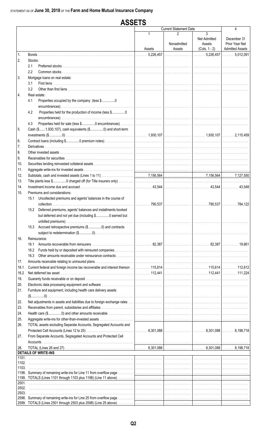#### **ASSETS Current Statement Date**  $\overline{\mathbf{A}}$  $\overline{3}$  $\mathfrak{p}$ Net Admitted December 31 Nonadmitted Prior Year Net Assets **Admitted Assets** Assets  $(Cols. 1 - 2)$ Assets 5,226,457 5.226.457  $\ldots 5.012.091$  $\mathbf{1}$ Bonds.  $\overline{2}$ . Stocks:  $2.1$ Preferred stocks.  $2.2$ Common stocks  $\overline{3}$ Mortgage loans on real estate:  $3.1$ First liens ............. 32 4. Real estate: 41 Properties occupied by the company (less \$.................0 Properties held for the production of income (less \$................0  $4.2$ Properties held for sale (less \$................0 encumbrances) ..  $4.3$ 5 Cash (\$.......1,930,107), cash equivalents (\$................0) and short-term 1.930.107 1.930.107 2.115.459 Contract loans (including \$................0 premium notes)... 6. **Derivatives**  $\overline{7}$ . 8. Other invested assets 9. Receivables for securities...  $10.$ Securities lending reinvested collateral assets. 11. Aggregate write-ins for invested assets ...  $12.$ Subtotals, cash and invested assets (Lines 1 to 11) 7,156,564 7,156,564 7,127,550 13. Title plants less \$................0 charged off (for Title insurers only)  $14$ 43.544 43.544  $43.548$  $15<sub>1</sub>$ Premiums and considerations: 15.1 Uncollected premiums and agents' balances in the course of collection ....................  $.790.537$  $.790.537$  $\ldots$  . 784.122 15.2 Deferred premiums, agents' balances and installments booked but deferred and not yet due (including \$................0 earned but unbilled premiums)... 15.3 Accrued retrospective premiums (\$.................0) and contracts subject to redetermination (\$.................0) .................. 16. Reinsurance: 16.1 Amounts recoverable from reinsurers ................ 82,387 82,387 19.661 16.2 Funds held by or deposited with reinsured companies 16.3 Other amounts receivable under reinsurance contracts  $17.$ Amounts receivable relating to uninsured plans ..... 18.1 Current federal and foreign income tax recoverable and interest thereon 115,614 115,614 112,612 18.2 Net deferred tax asset ..... 112 441 112 441 111 224  $19$ Guaranty funds receivable or on deposit ..  $20<sub>1</sub>$ Electronic data processing equipment and software ........ Furniture and equipment, including health care delivery assets  $21<sub>1</sub>$  $( \$............0)$ 22. Net adjustments in assets and liabilities due to foreign exchange rates ... 23. Receivables from parent, subsidiaries and affiliates. 24. Health care (\$................0) and other amounts receivable 25. Aggregate write-ins for other-than-invested assets. TOTAL assets excluding Separate Accounts, Segregated Accounts and 26. 8,301,088 8,301,088 8,198,718 27. From Separate Accounts, Segregated Accounts and Protected Cell Accounts 8,301,088 28 TOTAL (Lines 26 and 27) 8,301,088 8.198.718 **DETAILS OF WRITE-INS**  $1101$ 1102. 1103. 1198. Summary of remaining write-ins for Line 11 from overflow page 1199. TOTALS (Lines 1101 through 1103 plus 1198) (Line 11 above) 2501 2502. 2503 2598. Summary of remaining write-ins for Line 25 from overflow page 2599. TOTALS (Lines 2501 through 2503 plus 2598) (Line 25 above)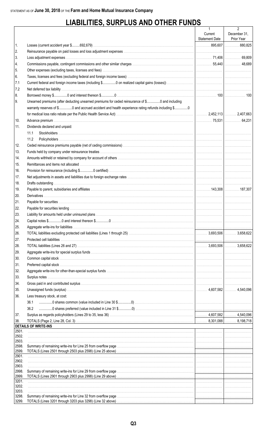# **LIABILITIES, SURPLUS AND OTHER FUNDS**

|                |                                                                                                                        | 1              | $\overline{2}$ |
|----------------|------------------------------------------------------------------------------------------------------------------------|----------------|----------------|
|                |                                                                                                                        | Current        | December 31,   |
|                |                                                                                                                        | Statement Date | Prior Year     |
| 1.             |                                                                                                                        |                |                |
| 2.             |                                                                                                                        |                |                |
| 3.             |                                                                                                                        |                |                |
| 4.             |                                                                                                                        |                |                |
| 5.             |                                                                                                                        |                |                |
| 6.             |                                                                                                                        |                |                |
| 7.1            |                                                                                                                        |                |                |
| 7.2            |                                                                                                                        |                |                |
| 8.             |                                                                                                                        |                |                |
| 9.             | Unearned premiums (after deducting unearned premiums for ceded reinsurance of \$0 and including                        |                |                |
|                | warranty reserves of \$0 and accrued accident and health experience rating refunds including \$0                       |                |                |
|                |                                                                                                                        |                |                |
| 10.            |                                                                                                                        |                |                |
| 11.            | Dividends declared and unpaid:                                                                                         |                |                |
|                | 11.1                                                                                                                   |                |                |
|                | 11.2                                                                                                                   |                |                |
| 12.            |                                                                                                                        |                |                |
| 13.            |                                                                                                                        |                |                |
| 14.            |                                                                                                                        |                |                |
| 15.            |                                                                                                                        |                |                |
| 16.            |                                                                                                                        |                |                |
| 17.            |                                                                                                                        |                |                |
| 18.            |                                                                                                                        |                |                |
| 19.            |                                                                                                                        |                |                |
| 20.            |                                                                                                                        |                |                |
| 21.            |                                                                                                                        |                |                |
| 22.            |                                                                                                                        |                |                |
| 23.            |                                                                                                                        |                |                |
| 24.            |                                                                                                                        |                |                |
| 25.            |                                                                                                                        |                |                |
| 26.            |                                                                                                                        |                |                |
| 27.            |                                                                                                                        |                |                |
| 28.            |                                                                                                                        |                |                |
| 29.            |                                                                                                                        |                |                |
| 30.            |                                                                                                                        |                |                |
| 31.            |                                                                                                                        |                |                |
| 32.            |                                                                                                                        |                |                |
| 33.            |                                                                                                                        |                |                |
| 34.            |                                                                                                                        |                |                |
| 35.            |                                                                                                                        |                |                |
| 36.            | Less treasury stock, at cost:                                                                                          |                |                |
|                | 36.1                                                                                                                   |                |                |
|                | 36.2                                                                                                                   |                |                |
|                |                                                                                                                        |                |                |
| 37.            |                                                                                                                        |                |                |
| 38.            | <b>DETAILS OF WRITE-INS</b>                                                                                            |                |                |
| 2501.          |                                                                                                                        |                |                |
| 2502.          |                                                                                                                        |                |                |
| 2503.          |                                                                                                                        |                |                |
| 2598.<br>2599. |                                                                                                                        |                |                |
| 2901.          |                                                                                                                        |                |                |
| 2902.          |                                                                                                                        |                |                |
| 2903.          |                                                                                                                        |                |                |
| 2998.<br>2999. |                                                                                                                        |                |                |
| 3201.          | TOTALS (Lines 2901 through 2903 plus 2998) (Line 29 above) <i>matter contained accordination accordination</i> and the |                |                |
| 3202.          |                                                                                                                        |                |                |
| 3203.          |                                                                                                                        |                |                |
| 3298.          |                                                                                                                        |                |                |
| 3299.          |                                                                                                                        |                |                |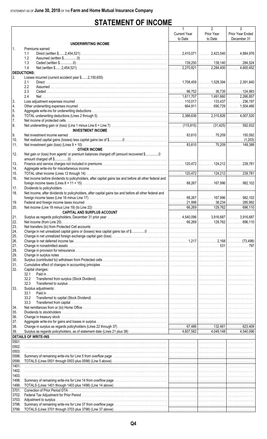# **STATEMENT OF INCOME**

|                    |                                                                                                                                                                                                                               | $\mathbf{1}$        | $\overline{2}$ | 3                |
|--------------------|-------------------------------------------------------------------------------------------------------------------------------------------------------------------------------------------------------------------------------|---------------------|----------------|------------------|
|                    |                                                                                                                                                                                                                               | <b>Current Year</b> | Prior Year     | Prior Year Ended |
|                    |                                                                                                                                                                                                                               | to Date             | to Date        | December 31      |
|                    | <b>UNDERWRITING INCOME</b>                                                                                                                                                                                                    |                     |                |                  |
| 1.                 | Premiums earned<br>1.1                                                                                                                                                                                                        |                     |                |                  |
|                    | 1.2                                                                                                                                                                                                                           |                     |                |                  |
|                    | 1.3                                                                                                                                                                                                                           |                     |                |                  |
|                    | 1.4                                                                                                                                                                                                                           |                     |                |                  |
| <b>DEDUCTIONS:</b> |                                                                                                                                                                                                                               |                     |                |                  |
| I2.                | Losses incurred (current accident year \$2,150,655)                                                                                                                                                                           |                     |                |                  |
|                    | 2.1<br>2.2                                                                                                                                                                                                                    |                     |                |                  |
|                    | 2.3                                                                                                                                                                                                                           |                     |                |                  |
|                    | 2.4                                                                                                                                                                                                                           |                     |                |                  |
| 3.                 |                                                                                                                                                                                                                               |                     |                |                  |
| 4.                 |                                                                                                                                                                                                                               |                     |                |                  |
| 5.                 |                                                                                                                                                                                                                               |                     |                |                  |
| 6.                 |                                                                                                                                                                                                                               |                     |                |                  |
| 7.                 |                                                                                                                                                                                                                               |                     |                |                  |
| 8.                 | <b>INVESTMENT INCOME</b>                                                                                                                                                                                                      |                     |                |                  |
| 9.                 |                                                                                                                                                                                                                               |                     |                |                  |
| 10.                |                                                                                                                                                                                                                               |                     |                |                  |
| 11.                |                                                                                                                                                                                                                               |                     |                |                  |
|                    | <b>OTHER INCOME</b>                                                                                                                                                                                                           |                     |                |                  |
| 12.                | Net gain or (loss) from agents' or premium balances charged off (amount recovered \$0                                                                                                                                         |                     |                |                  |
|                    |                                                                                                                                                                                                                               |                     |                |                  |
| 13.                |                                                                                                                                                                                                                               |                     |                |                  |
| 14.                |                                                                                                                                                                                                                               |                     |                |                  |
| 15.<br>16.         | Net income before dividends to policyholders, after capital gains tax and before all other federal and                                                                                                                        |                     |                |                  |
|                    |                                                                                                                                                                                                                               |                     |                |                  |
| 17.                |                                                                                                                                                                                                                               |                     |                |                  |
| 18.                | Net income, after dividends to policyholders, after capital gains tax and before all other federal and                                                                                                                        |                     |                |                  |
|                    |                                                                                                                                                                                                                               |                     |                |                  |
| 19.                |                                                                                                                                                                                                                               |                     |                |                  |
| 20.                |                                                                                                                                                                                                                               |                     |                |                  |
|                    | <b>CAPITAL AND SURPLUS ACCOUNT</b>                                                                                                                                                                                            |                     |                |                  |
| 21.<br>22.         |                                                                                                                                                                                                                               |                     |                |                  |
| 23.                |                                                                                                                                                                                                                               |                     |                |                  |
| 24.                |                                                                                                                                                                                                                               |                     |                |                  |
| 25.                |                                                                                                                                                                                                                               |                     |                |                  |
| 26.                |                                                                                                                                                                                                                               |                     |                |                  |
| 27.                |                                                                                                                                                                                                                               |                     |                |                  |
| 28.                |                                                                                                                                                                                                                               |                     |                |                  |
| 29.<br>30.         |                                                                                                                                                                                                                               |                     |                |                  |
| 31.                |                                                                                                                                                                                                                               |                     |                |                  |
| 32.                | Capital changes:                                                                                                                                                                                                              |                     |                |                  |
|                    | 32.1                                                                                                                                                                                                                          |                     |                |                  |
|                    | 32.2                                                                                                                                                                                                                          |                     |                |                  |
|                    | 32.3                                                                                                                                                                                                                          |                     |                |                  |
| 33.                | Surplus adjustments:                                                                                                                                                                                                          |                     |                |                  |
|                    | 33.1<br>33.2                                                                                                                                                                                                                  |                     |                |                  |
|                    | 33.3                                                                                                                                                                                                                          |                     |                |                  |
| 34.                |                                                                                                                                                                                                                               |                     |                |                  |
| 35.                |                                                                                                                                                                                                                               |                     |                |                  |
| 36.                |                                                                                                                                                                                                                               |                     |                |                  |
| 37.                | Aggregate write-ins for gains and losses in surplus with the content of the content of the content of the content of the content of the content of the content of the content of the content of the content of the content of |                     |                |                  |
| 38.                |                                                                                                                                                                                                                               |                     |                |                  |
| 39.                |                                                                                                                                                                                                                               |                     |                |                  |
|                    | <b>DETAILS OF WRITE-INS</b>                                                                                                                                                                                                   |                     |                |                  |
| 0501.<br>0502.     |                                                                                                                                                                                                                               |                     |                |                  |
| 0503.              |                                                                                                                                                                                                                               |                     |                |                  |
| 0598.              |                                                                                                                                                                                                                               |                     |                |                  |
| 0599.              |                                                                                                                                                                                                                               |                     |                |                  |
| 1401.              |                                                                                                                                                                                                                               |                     |                |                  |
| 1402.              |                                                                                                                                                                                                                               |                     |                |                  |
| 1403.              |                                                                                                                                                                                                                               |                     |                |                  |
| 1498.<br>1499.     |                                                                                                                                                                                                                               |                     |                |                  |
| 3701.              |                                                                                                                                                                                                                               |                     |                |                  |
| 3702.              |                                                                                                                                                                                                                               |                     |                |                  |
| 3703.              |                                                                                                                                                                                                                               |                     |                |                  |
| 3798.              |                                                                                                                                                                                                                               |                     |                |                  |
| 3799.              |                                                                                                                                                                                                                               |                     |                |                  |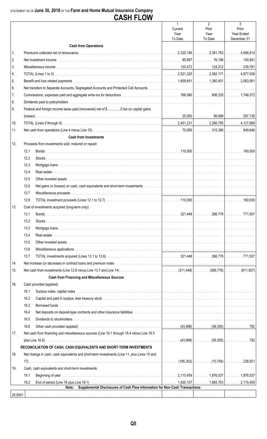### STATEMENT AS OF June 30, 2018 OF THE Farm and Home Mutual Insurance Company CASH FI OW

|         |      | UAUI I LUII                                                                                 |                                               |                         |                           |
|---------|------|---------------------------------------------------------------------------------------------|-----------------------------------------------|-------------------------|---------------------------|
|         |      |                                                                                             | $\mathbf{1}$<br>Current                       | $\overline{2}$<br>Prior | 3<br>Prior                |
|         |      |                                                                                             | Year<br>To Date                               | Year<br>To Date         | Year Ended<br>December 31 |
|         |      | <b>Cash from Operations</b>                                                                 |                                               |                         |                           |
| 1.      |      |                                                                                             |                                               |                         |                           |
| 2.      |      |                                                                                             |                                               |                         |                           |
| 3.      |      |                                                                                             |                                               |                         |                           |
| 4.      |      |                                                                                             |                                               |                         |                           |
| 5.      |      |                                                                                             |                                               |                         |                           |
| 6.      |      |                                                                                             |                                               |                         |                           |
| 7.      |      |                                                                                             |                                               |                         |                           |
| 8.      |      |                                                                                             |                                               |                         |                           |
| 9.      |      | Federal and foreign income taxes paid (recovered) net of \$0 tax on capital gains           |                                               |                         |                           |
|         |      |                                                                                             |                                               |                         |                           |
|         |      |                                                                                             |                                               |                         |                           |
| 10.     |      |                                                                                             |                                               |                         |                           |
| 11.     |      |                                                                                             |                                               |                         |                           |
|         |      | <b>Cash from Investments</b>                                                                |                                               |                         |                           |
| 12.     |      | Proceeds from investments sold, matured or repaid:                                          |                                               |                         |                           |
|         | 12.1 |                                                                                             |                                               |                         |                           |
|         | 12.2 |                                                                                             |                                               |                         |                           |
|         | 12.3 |                                                                                             |                                               |                         |                           |
|         | 12.4 |                                                                                             |                                               |                         |                           |
|         | 12.5 |                                                                                             |                                               |                         |                           |
|         | 12.6 |                                                                                             |                                               |                         |                           |
|         | 12.7 |                                                                                             |                                               |                         |                           |
|         | 12.8 |                                                                                             |                                               |                         |                           |
| 13.     |      | Cost of investments acquired (long-term only):                                              |                                               |                         |                           |
|         |      |                                                                                             |                                               |                         |                           |
|         | 13.2 |                                                                                             |                                               |                         |                           |
|         | 13.3 |                                                                                             |                                               |                         |                           |
|         | 13.4 |                                                                                             |                                               |                         |                           |
|         | 13.5 |                                                                                             |                                               |                         |                           |
|         | 13.6 |                                                                                             |                                               |                         |                           |
|         | 13.7 |                                                                                             |                                               |                         |                           |
| 14.     |      |                                                                                             |                                               |                         |                           |
| 15.     |      |                                                                                             |                                               |                         |                           |
|         |      | <b>Cash from Financing and Miscellaneous Sources</b>                                        |                                               |                         |                           |
| 16.     |      | Cash provided (applied):                                                                    |                                               |                         |                           |
|         | 16.1 |                                                                                             |                                               |                         |                           |
|         | 16.2 |                                                                                             |                                               |                         |                           |
|         | 16.3 |                                                                                             |                                               |                         |                           |
|         | 16.4 |                                                                                             |                                               |                         |                           |
|         | 16.5 |                                                                                             |                                               |                         |                           |
|         | 16.6 |                                                                                             |                                               |                         |                           |
| 17.     |      | Net cash from financing and miscellaneous sources (Line 16.1 through 16.4 minus Line 16.5   |                                               |                         |                           |
|         |      |                                                                                             |                                               |                         |                           |
|         |      | RECONCILIATION OF CASH, CASH EQUIVALENTS AND SHORT-TERM INVESTMENTS                         |                                               |                         |                           |
| 18.     |      | Net change in cash, cash equivalents and short-term investments (Line 11, plus Lines 15 and |                                               |                         |                           |
|         |      |                                                                                             | │…………… (185,352)│…………… (10,784)│…………… 238,921 |                         |                           |
| 19.     |      | Cash, cash equivalents and short-term investments:                                          |                                               |                         |                           |
|         | 19.1 |                                                                                             |                                               |                         |                           |
|         | 19.2 |                                                                                             |                                               |                         |                           |
|         |      | Supplemental Disclosures of Cash Flow Information for Non-Cash Transactions:<br>Note:       |                                               |                         |                           |
| 20.0001 |      |                                                                                             |                                               |                         |                           |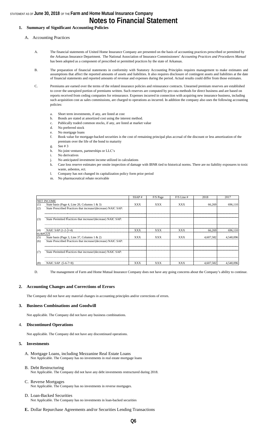### STATEMENT AS OF **June 30, 2018** OF THE **Farm and Home Mutual Insurance Company Notes to Financial Statement**

### **1. Summary of Significant Accounting Policies**

A. Accounting Practices

- A. The financial statements of United Home Insurance Company are presented on the basis of accounting practices prescribed or permitted by the Arkansas Insurance Department. The National Association of Insurance Commissioners' *Accounting Practices and Procedures Manual*  has been adopted as a component of prescribed or permitted practices by the state of Arkansas.
- B. The preparation of financial statements in conformity with Statutory Accounting Principles requires management to make estimates and assumptions that affect the reported amounts of assets and liabilities. It also requires disclosure of contingent assets and liabilities at the date of financial statements and reported amounts of revenue and expenses during the period. Actual results could differ from those estimates.
- C. Premiums are earned over the terms of the related insurance policies and reinsurance contracts. Unearned premium reserves are established to cover the unexpired portion of premiums written. Such reserves are computed by pro rata methods for direct business and are based on reports received from ceding companies for reinsurance. Expenses incurred in connection with acquiring new insurance business, including such acquisition cost as sales commissions, are charged to operations as incurred. In addition the company also uses the following accounting policies:
	- a. Short term investments, if any, are listed at cost
	- b. Bonds are stated at amortized cost using the interest method.
	- c. Publically traded common stocks, if any, are listed at market value
	- d. No preferred stock
	- e. No mortgage loans
	- f. Book value for mortgage-backed securities is the cost of remaining principal plus accrual of the discount or less amortization of the premium over the life of the bond to maturity
	- g. See # 3
	- h. No joint ventures, partnerships or LLC's
	- i. No derivatives
	- j. No anticipated investment income utilized in calculations
	- k. Case loss reserve estimates per onsite inspection of damage with IBNR tied to historical norms. There are no liability exposures to toxic waste, asbestos, ect.
	- l. Company has not changed its capitalization policy form prior period
	- m. No pharmaceutical rebate receivable

|                                                                      | SSAP#      | F/S Page   | $F/S$ Line # | 2018      | 2017      |
|----------------------------------------------------------------------|------------|------------|--------------|-----------|-----------|
| <b>NET INCOME</b>                                                    |            |            |              |           |           |
| State basis (Page 4, Line 20, Columns $1 \& 3$ )<br>(1)              | <b>XXX</b> | <b>XXX</b> | <b>XXX</b>   | 66,269    | 696,110   |
| (2)<br>State Prescribed Practices that increase/(decrease) NAIC SAP: |            |            |              |           |           |
| State Permitted Practices that increase/(decrease) NAIC SAP:         |            |            |              |           |           |
| (3)                                                                  |            |            |              |           |           |
| (4)<br>NAIC SAP $(1-2-3=4)$                                          | XXX        | XXX        | <b>XXX</b>   | 66,269    | 696.110   |
| <b>SURPLUS</b>                                                       |            |            |              |           |           |
| (5)<br>State basis (Page 3, Line 37, Columns 1 & 2)                  | <b>XXX</b> | <b>XXX</b> | <b>XXX</b>   | 4.607.582 | 4.540.096 |
| State Prescribed Practices that increase/(decrease) NAIC SAP:<br>(6) |            |            |              |           |           |
|                                                                      |            |            |              |           |           |
| State Permitted Practices that increase/(decrease) NAIC SAP:<br>(7)  |            |            |              |           |           |
| NAIC SAP $(5-6-7=8)$<br>(8)                                          | XXX        | <b>XXX</b> | <b>XXX</b>   | 4.607.582 | 4.540.096 |

D. The management of Farm and Home Mutual Insurance Company does not have any going concerns about the Company's ability to continue.

#### **2. Accounting Changes and Corrections of Errors**

The Company did not have any material changes in accounting principles and/or corrections of errors.

#### **3. Business Combinations and Goodwill**

Not applicable. The Company did not have any business combinations.

#### 4. **Discontinued Operations**

Not applicable. The Company did not have any discontinued operations.

#### **5. Investments**

A. Mortgage Loans, including Mezzanine Real Estate Loans Not Applicable. The Company has no investments in real estate mortgage loans

#### B. Debt Restructuring

Not Applicable. The Company did not have any debt investments restructured during 2018.

C. Reverse Mortgages Not Applicable. The Company has no investments in reverse mortgages.

## D. Loan-Backed Securities

Not Applicable. The Company has no investments in loan-backed securities

**E.** Dollar Repurchase Agreements and/or Securities Lending Transactions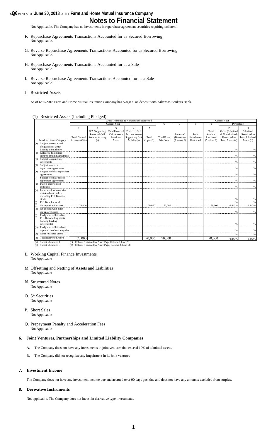### **s@6** MENT AS OF **June 30, 2018** OF THE Farm and Home Mutual Insurance Company **Notes to Financial Statement**

Not Applicable. The Company has no investments in repurchase agreement securities requiring collateral.

- F. Repurchase Agreements Transactions Accounted for as Secured Borrowing Not Applicable.
- G. Reverse Repurchase Agreements Transactions Accounted for as Secured Borrowing Not Applicable.
- H. Repurchase Agreements Transactions Accounted for as a Sale Not Applicable
- I. Reverse Repurchase Agreements Transactions Accounted for as a Sale Not Applicable

#### J. Restricted Assets

As of 6/30/2018 Farm and Home Mutual Insurance Company has \$70,000 on deposit with Arkansas Bankers Bank.

(1) Restricted Assets (Including Pledged)

|     |                                                    |                      |                                                  | Gross (Admitted & Nonadmited) Restricted |                       |                |                   |                        |             | Current Year           |                  |                       |
|-----|----------------------------------------------------|----------------------|--------------------------------------------------|------------------------------------------|-----------------------|----------------|-------------------|------------------------|-------------|------------------------|------------------|-----------------------|
|     |                                                    |                      |                                                  | Current Year                             |                       |                | 6                 | $\tau$                 | 8           | 9                      | Percentage       |                       |
|     |                                                    |                      | $\overline{2}$                                   | $\mathbf{3}$                             | $\overline{4}$        | 5              |                   |                        |             |                        | 10               | 11                    |
|     |                                                    |                      | G/A Supporting                                   | <b>Total Protected</b>                   | <b>Protected Cell</b> |                |                   |                        |             | Total                  | Gross (Admitted  | Admitted              |
|     |                                                    |                      | Protected Cell                                   | Cell Account                             | <b>Account Assets</b> |                |                   | Increase/              | Total       | Admitted               | & Nonadmitted)   | Restricted to         |
|     |                                                    | <b>Total General</b> | <b>Account Activity</b>                          | Restricted                               | Supporting G/A        | Total          | <b>Total From</b> | (Decrease)             | Nonadmitted | Restricted             | Restricted to    | <b>Total Admitted</b> |
|     | <b>Restricted Asset Category</b>                   | Account $(G/A)$      | (a)                                              | Assets                                   | Activity (b)          | $(1$ plus $3)$ | Prior Year        | $(5 \text{ minus } 6)$ | Restricted  | $(5 \text{ minus } 8)$ | Total Assets (c) | Assets (d)            |
| (a) | Subject to contractual                             |                      |                                                  |                                          |                       |                |                   |                        |             |                        |                  |                       |
|     | obligation for which                               |                      |                                                  |                                          |                       |                |                   |                        |             |                        |                  |                       |
|     | liability is not shown                             |                      |                                                  |                                          |                       |                |                   |                        |             |                        | %                | %                     |
| (b) | Collateral held under                              |                      |                                                  |                                          |                       |                |                   |                        |             |                        |                  |                       |
|     | security lending agreements                        |                      |                                                  |                                          |                       |                |                   |                        |             |                        | %                | %                     |
| (c) | Subject to repurchase                              |                      |                                                  |                                          |                       |                |                   |                        |             |                        |                  |                       |
|     | agreements                                         |                      |                                                  |                                          |                       |                |                   |                        |             |                        | $\%$             | %                     |
| (d) | Subject to reverse                                 |                      |                                                  |                                          |                       |                |                   |                        |             |                        |                  |                       |
|     | repurchase agreements                              |                      |                                                  |                                          |                       |                |                   |                        |             |                        | $\%$             | %                     |
| (e) | Subject to dollar repurchase                       |                      |                                                  |                                          |                       |                |                   |                        |             |                        |                  |                       |
|     | agreements                                         |                      |                                                  |                                          |                       |                |                   |                        |             |                        | $\%$             | $\%$                  |
| (f) | Subject to dollar reverse                          |                      |                                                  |                                          |                       |                |                   |                        |             |                        |                  |                       |
|     | repurchase agreements                              |                      |                                                  |                                          |                       |                |                   |                        |             |                        | $\%$             | %                     |
| (g) | Placed under option                                |                      |                                                  |                                          |                       |                |                   |                        |             |                        |                  |                       |
|     | contracts                                          |                      |                                                  |                                          |                       |                |                   |                        |             |                        | $\%$             | $\%$                  |
| (h) | Letter stock or securities                         |                      |                                                  |                                          |                       |                |                   |                        |             |                        |                  |                       |
|     | restricted as to sale -                            |                      |                                                  |                                          |                       |                |                   |                        |             |                        |                  |                       |
|     | excluding FHLB capital                             |                      |                                                  |                                          |                       |                |                   |                        |             |                        |                  |                       |
|     | ${\sf stock}$<br>FHLB capital stock                |                      |                                                  |                                          |                       |                |                   |                        |             |                        | $\%$             | %                     |
| (i) |                                                    |                      |                                                  |                                          |                       |                |                   |                        |             |                        | %                |                       |
| (j) | On deposit with states                             | 70,000               |                                                  |                                          |                       | 70,000         | 70,000            |                        |             | 70,000                 | 0.843%           | 0.843%                |
| (k) | On deposit with other<br>regulatory bodies         |                      |                                                  |                                          |                       |                |                   |                        |             |                        | %                | %                     |
|     |                                                    |                      |                                                  |                                          |                       |                |                   |                        |             |                        |                  |                       |
| (1) | Pledged as collateral to<br>FHLB (including assets |                      |                                                  |                                          |                       |                |                   |                        |             |                        |                  |                       |
|     | backing funding                                    |                      |                                                  |                                          |                       |                |                   |                        |             |                        |                  |                       |
|     | agreements)                                        |                      |                                                  |                                          |                       |                |                   |                        |             |                        | %                | %                     |
|     | (m) Pledged as collateral not                      |                      |                                                  |                                          |                       |                |                   |                        |             |                        |                  |                       |
|     | captured in other categories                       |                      |                                                  |                                          |                       |                |                   |                        |             |                        | %                | %                     |
| (n) | Other restricted assets                            |                      |                                                  |                                          |                       |                |                   |                        |             |                        | %                | $\%$                  |
|     | <b>Total Restricted Assets</b>                     |                      |                                                  |                                          |                       |                |                   |                        |             |                        |                  |                       |
| (o) |                                                    | 70,000               |                                                  |                                          |                       | 70,000         | 70,000            |                        |             | 70,000                 | 0.843%           | 0.843%                |
| (a) | Subset of column 1                                 | (c)                  | Column 5 divided by Asset Page Column 1. Line 28 |                                          |                       |                |                   |                        |             |                        |                  |                       |

(a) Subset of column 1 (b) Subset of column 3 (c) Column 5 divided by Asset Page Column 1,Line 28 (d) Column 9 divided by Asset Page, Column 3, Line 28

- L. Working Capital Finance Investments
- Not Applicable
- M. Offsetting and Netting of Assets and Liabilities Not Applicable
- **N.** Structured Notes Not Applicable
- O. 5\* Securities Not Applicable
- P. Short Sales Not Applicable
- Q. Prepayment Penalty and Acceleration Fees Not Applicable

#### **6. Joint Ventures, Partnerships and Limited Liability Companies**

- A. The Company does not have any investments in joint ventures that exceed 10% of admitted assets.
- B. The Company did not recognize any impairment in its joint ventures

#### **7. Investment Income**

The Company does not have any investment income due and accrued over 90 days past due and does not have any amounts excluded from surplus.

#### **8. Derivative Instruments**

Not applicable. The Company does not invest in derivative type investments.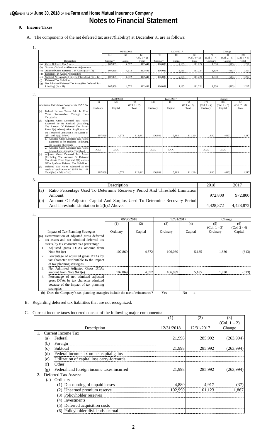### **s@6** MENT AS OF **June 30, 2018** OF THE **Farm and Home Mutual Insurance Company Notes to Financial Statement**

### **9. Income Taxes**

- A. The components of the net deferred tax asset/(liability) at December 31 are as follows:
	- 1.

|                                                             |          | 06/30/2018 |                |          | 12/31/2017 |                |              | Change         |                |  |
|-------------------------------------------------------------|----------|------------|----------------|----------|------------|----------------|--------------|----------------|----------------|--|
|                                                             | (1)      | (2)        | (3)            | (4)      | (5)        | (6)            |              | (8)            | (9)            |  |
|                                                             |          |            | $(Col. 1 + 2)$ |          |            | $(Col. 4 + 5)$ | (Col. 1 – 4) | $(Col. 2 - 5)$ | $(Col. 7 + 8)$ |  |
| Description                                                 | Ordinary | Capital    | Total          | Ordinary | Capital    | Total          | Ordinary     | Capital        | Total          |  |
| <b>Gross Deferred Tax Assets</b><br>(a)                     | 107.869  | 4.572      | 112.441        | 106,039  | 5.185      | 111.224        | 1,830        | (613)          | 1.217          |  |
| Statutory Valuation Allowance Adjustments<br>(b)            |          |            |                |          |            |                |              |                |                |  |
| Adjusted Gross Deferred Tax Assets $(1a - 1b)$<br>(c)       | 107.869  | 4.572      | 112.441        | 106,039  | 5.185      | 111.224        | 1.830        | (613)          | 1.217          |  |
| Deferred Tax Assets Nonadmitted<br>(d)                      |          |            |                |          |            |                |              |                |                |  |
| Subtotal Net Admitted Deferred Tax Asset $(1c - 1d)$<br>(e) | 107.869  | 4.572      | 112.441        | 106.039  | 5.185      | 111.224        | 1.830        | (613)          | 1.217          |  |
| Deferred Tax Liabilities<br>(f)                             |          |            |                |          |            |                |              |                |                |  |
| Net Admitted Deferred Tax Asset/(Net Deferred Tax<br>(g)    |          |            |                |          |            |                |              |                |                |  |
| Liability) $(1e - 1f)$                                      | 107,869  | 4,572      | 112.441        | 106,039  | 5,185      | 111.224        | 1,830        | (613)          | 1,217          |  |

2.

|                                              | 06/30/2018 |            |                | 12/31/2017 |            |                | Change         |                |                |
|----------------------------------------------|------------|------------|----------------|------------|------------|----------------|----------------|----------------|----------------|
|                                              | (1)        | (2)        | (3)            | (4)        | (5)        | (6)            | (7)            | (8)            | (9)            |
| Admission Calculation Components SSAP No.    |            |            | $(Col. 1 + 2)$ |            |            | $(Col. 4 + 5)$ | $(Col. 1 - 4)$ | $(Col. 2 - 5)$ | $(Col. 7 + 8)$ |
| 101                                          | Ordinary   | Capital    | Total          | Ordinary   | Capital    | Total          | Ordinary       | Capital        | Total          |
| Income Taxes Paid In Prior<br>Federal<br>(a) |            |            |                |            |            |                |                |                |                |
| Recoverable Through<br>Loss<br>Years         |            |            |                |            |            |                |                |                |                |
| Carrybacks                                   |            |            |                |            |            |                |                |                |                |
| Adjusted Gross Deferred Tax Assets<br>(b)    |            |            |                |            |            |                |                |                |                |
| Expected To Be Realized (Excluding           |            |            |                |            |            |                |                |                |                |
| The Amount Of Deferred Tax Assets            |            |            |                |            |            |                |                |                |                |
| From 2(a) Above) After Application of        |            |            |                |            |            |                |                |                |                |
| the Threshold Limitation (The Lesser of      |            |            |                |            |            |                |                |                |                |
| $2(b)1$ and $2(b)2$ below)                   | 107,869    | 4.572      | 112,441        | 106.039    | 5.185      | 111.224        | 1.830          | (613)          | 1.217          |
| 1. Adjusted Gross Deferred Tax Assets        |            |            |                |            |            |                |                |                |                |
| Expected to be Realized Following            |            |            |                |            |            |                |                |                |                |
| the Balance Sheet Date                       |            |            |                |            |            |                |                |                |                |
| 2. Adjusted Gross Deferred Tax Assets        | <b>XXX</b> | <b>XXX</b> |                | <b>XXX</b> | <b>XXX</b> |                | <b>XXX</b>     | <b>XXX</b>     |                |
| Allowed per Limitation Threshold             |            |            |                |            |            |                |                |                |                |
| Adjusted Gross Deferred Tax Assets<br>(c)    |            |            |                |            |            |                |                |                |                |
| (Excluding The Amount Of Deferred            |            |            |                |            |            |                |                |                |                |
| Tax Assets From $2(a)$ and $2(b)$ above)     |            |            |                |            |            |                |                |                |                |
| Offset by Gross Deferred Tax Liabilities     |            |            |                |            |            |                |                |                |                |
| Deferred Tax Assets Admitted as the<br>(d)   |            |            |                |            |            |                |                |                |                |
| result of application of SSAP No. 101        |            |            |                |            |            |                |                |                |                |
| Total $(2(a) + 2(b) + 2(c))$                 | 107.869    | 4,572      | 112,441        | 106,039    | 5,185      | 111,224        | 1,830          | (613)          | 1,217          |

3.

|     | Description                                                                 | 2018      | 2017      |
|-----|-----------------------------------------------------------------------------|-----------|-----------|
| (a) | Ratio Percentage Used To Determine Recovery Period And Threshold Limitation |           |           |
|     | Amount.                                                                     | 972.800   | 972.800   |
| (b) | Amount Of Adjusted Capital And Surplus Used To Determine Recovery Period    |           |           |
|     | And Threshold Limitation in 2(b)2 Above.                                    | 4.428.872 | 4,428,872 |

4.

|                                                                                | 06/30/2018 |         | 12/31/2017 |         | Change         |                |
|--------------------------------------------------------------------------------|------------|---------|------------|---------|----------------|----------------|
|                                                                                | (1)        | (2)     | (3)        | (4)     | (5)            | (6)            |
|                                                                                |            |         |            |         | $(Col. 1 - 3)$ | $(Col. 2 - 4)$ |
| <b>Impact of Tax-Planning Strategies</b>                                       | Ordinary   | Capital | Ordinary   | Capital | Ordinary       | Capital        |
| Determination of adjusted gross deferred<br>(a)                                |            |         |            |         |                |                |
| tax assets and net admitted deferred tax                                       |            |         |            |         |                |                |
| assets, by tax character as a percentage                                       |            |         |            |         |                |                |
| Adjusted gross DTAs amount from                                                |            |         |            |         |                |                |
| Note $9A1(c)$                                                                  | 107.869    | 4,572   | 106.039    | 5.185   | 1.830          | (613)          |
| Percentage of adjusted gross DTAs by<br>2.                                     |            |         |            |         |                |                |
| tax character attributable to the impact                                       |            |         |            |         |                |                |
| of tax planning strategies                                                     |            |         |            |         |                |                |
| Net Admitted Adjusted Gross DTAs<br>3.                                         |            |         |            |         |                |                |
| amount from Note 9A1(e)                                                        | 107,869    | 4,572   | 106.039    | 5.185   | 1.830          | (613)          |
| Percentage of net admitted adjusted<br>4.                                      |            |         |            |         |                |                |
| gross DTAs by tax character admitted                                           |            |         |            |         |                |                |
| because of the impact of tax planning                                          |            |         |            |         |                |                |
| strategies                                                                     |            |         |            |         |                |                |
| (b) Does the Company's tax-planning strategies include the use of reinsurance? |            |         | Yes        | No<br>X |                |                |

#### B. Regarding deferred tax liabilities that are not recognized:

### C. Current income taxes incurred consist of the following major components:

|     |                                            | (1)        | (2)        | (3)            |
|-----|--------------------------------------------|------------|------------|----------------|
|     |                                            |            |            | $(Col. 1 - 2)$ |
|     | Description                                | 12/31/2018 | 12/31/2017 | Change         |
|     | <b>Current Income Tax</b>                  |            |            |                |
| (a) | Federal                                    | 21,998     | 285,992    | (263,994)      |
| (b) | Foreign                                    |            |            |                |
| (c) | Subtotal                                   | 21,998     | 285,992    | (263,994)      |
| (d) | Federal income tax on net capital gains    |            |            |                |
| (e) | Utilization of capital loss carry-forwards |            |            |                |
| (f) | Other                                      |            |            |                |
| (g) | Federal and foreign income taxes incurred  | 21,998     | 285,992    | (263,994)      |
|     | Deferred Tax Assets:                       |            |            |                |
| (a) | Ordinary                                   |            |            |                |
|     | (1) Discounting of unpaid losses           | 4,880      | 4,917      | (37)           |
|     | (2) Unearned premium reserve               | 102,990    | 101,123    | 1,867          |
|     | (3) Policyholder reserves                  |            |            |                |
|     | (4) Investments                            |            |            |                |
|     | (5) Deferred acquisition costs             |            |            |                |
|     | (6) Policyholder dividends accrual         |            |            |                |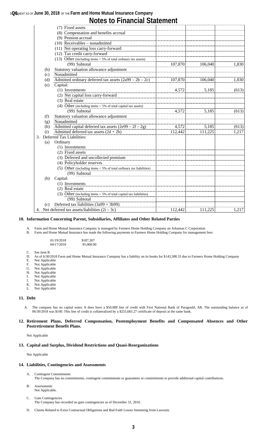### **s@6** MENT AS OF **June 30, 2018** OF THE **Farm and Home Mutual Insurance Company**

## **Notes to Financial Statement**

|     | (7) Fixed assets                                                     |         |         |       |
|-----|----------------------------------------------------------------------|---------|---------|-------|
|     | (8) Compensation and benefits accrual                                |         |         |       |
|     | (9) Pension accrual                                                  |         |         |       |
|     | $(10)$ Receivables – nonadmitted                                     |         |         |       |
|     | (11) Net operating loss carry-forward                                |         |         |       |
|     | (12) Tax credit carry-forward                                        |         |         |       |
|     | (13) Other (including items $<$ 5% of total ordinary tax assets)     |         |         |       |
|     | (99) Subtotal                                                        | 107,870 | 106,040 | 1,830 |
| (b) | Statutory valuation allowance adjustment                             |         |         |       |
| (c) | Nonadmitted                                                          |         |         |       |
| (d) | Admitted ordinary deferred tax assets $(2a99 – 2b – 2c)$             | 107,870 | 106,040 | 1,830 |
| (e) | Capital:                                                             |         |         |       |
|     | (1) Investments                                                      | 4,572   | 5,185   | (613) |
|     | (2) Net capital loss carry-forward                                   |         |         |       |
|     | (3) Real estate                                                      |         |         |       |
|     | (4) Other (including items $<$ 5% of total capital tax assets)       |         |         |       |
|     | (99) Subtotal                                                        | 4,572   | 5,185   | (613) |
| (f) | Statutory valuation allowance adjustment                             |         |         |       |
| (g) | Nonadmitted                                                          |         |         |       |
| (h) | Admitted capital deferred tax assets $(2e99 – 2f – 2g)$              | 4,572   | 5,185   | (613) |
| (i) | Admitted deferred tax assets $(2d + 2h)$                             | 112,442 | 111,225 | 1,217 |
| 3.  | Deferred Tax Liabilities:                                            |         |         |       |
| (a) | Ordinary                                                             |         |         |       |
|     | (1) Investments                                                      |         |         |       |
|     | (2) Fixed assets                                                     |         |         |       |
|     | (3) Deferred and uncollected premium                                 |         |         |       |
|     | (4) Policyholder reserves                                            |         |         |       |
|     | (5) Other (including items $<$ 5% of total ordinary tax liabilities) |         |         |       |
|     | (99) Subtotal                                                        |         |         |       |
| (b) | Capital:                                                             |         |         |       |
|     | (1) Investments                                                      |         |         |       |
|     | (2) Real estate                                                      |         |         |       |
|     | (3) Other (including items $<$ 5% of total capital tax liabilities)  |         |         |       |
|     | (99) Subtotal                                                        |         |         |       |
| (c) | Deferred tax liabilities (3a99 + 3b99)                               |         |         |       |
|     | 4. Net deferred tax assets/liabilities $(2i – 3c)$                   | 112,442 | 111,225 | 1,217 |

#### **10. Information Concerning Parent, Subsidiaries, Affiliates and Other Related Parties**

A. Farm and Home Mutual Insurance Company is managed by Farmers Home Holding Company an Arkansas C Corporation<br>B. Farm and Home Mutual Insurance has made the following payments to Farmers Home Holding Company for managemen

Farm and Home Mutual Insurance has made the following payments to Farmers Home Holding Company for management fees:

| 01/19/2018 | \$187,307 |
|------------|-----------|
| 04/17/2018 | 95,000.00 |

- C. See item B
- D. As of 6/30/2018 Farm and Home Mutual Insurance Company has a liability on its books for \$143,308.33 due to Farmers Home Holding Company
- E. Not Applicable<br>F. Not Applicable Not Applicable
- G. Not Applicable
- H. Not Applicable
- 
- I. Not Applicable<br>J. Not Applicable
- J. Not Applicable<br>K. Not Applicable<br>L. Not Applicable K. Not Applicable
- L. Not Applicable

#### **11. Debt**

A. The company has no capital notes. It does have a \$50,000 line of credit with First National Bank of Paragould, AR. The outstanding balance as of 06/30/2018 was \$100. This line of credit is collateralized by a \$255,683.27 certificate of deposit at the same bank.

#### **12. Retirement Plans, Deferred Compensation, Postemployment Benefits and Compensated Absences and Other Postretirement Benefit Plans.**

Not Applicable

#### **13. Capital and Surplus, Dividend Restrictions and Quasi-Reorganizations**

Not Applicable

#### **14. Liabilities, Contingencies and Assessments**

- A. Contingent Commitments The Company has no commitments, contingent commitments or guarantees or commitments to provide additional capital contributions.
- B. Assessments Not Applicable.
- C. Gain Contingencies
	- The Company has recorded no gain contingencies as of December 31, 2016.
- D. Claims Related to Extra Contractual Obligations and Bad Faith Losses Stemming from Lawsuits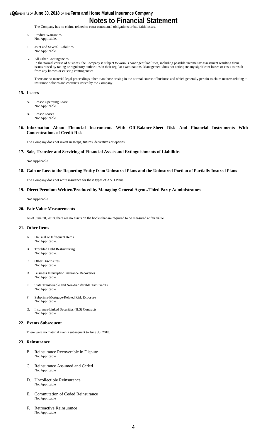### **s@6** MENT AS OF **June 30, 2018** OF THE **Farm and Home Mutual Insurance Company Notes to Financial Statement**

The Company has no claims related to extra contractual obligations or bad faith losses.

- E. Product Warranties Not Applicable.
- F. Joint and Several Liabilities Not Applicable.
- G. All Other Contingencies

In the normal course of business, the Company is subject to various contingent liabilities, including possible income tax assessment resulting from issues raised by taxing or regulatory authorities in their regular examinations. Management does not anticipate any significant losses or costs to result from any known or existing contingencies.

There are no material legal proceedings other than those arising in the normal course of business and which generally pertain to claim matters relating to insurance policies and contracts issued by the Company.

#### **15. Leases**

- A. Lessee Operating Lease Not Applicable.
- B. Lessor Leases Not Applicable.
- **16. Information About Financial Instruments With Off-Balance-Sheet Risk And Financial Instruments With Concentrations of Credit Risk**

The Company does not invest in swaps, futures, derivatives or options.

#### **17. Sale, Transfer and Servicing of Financial Assets and Extinguishments of Liabilities**

Not Applicable

#### **18. Gain or Loss to the Reporting Entity from Uninsured Plans and the Uninsured Portion of Partially Insured Plans**

The Company does not write insurance for these types of A&H Plans.

#### **19. Direct Premium Written/Produced by Managing General Agents/Third Party Administrators**

Not Applicable

#### **20. Fair Value Measurements**

As of June 30, 2018, there are no assets on the books that are required to be measured at fair value.

#### **21. Other Items**

- A. Unusual or Infrequent Items Not Applicable.
- B. Troubled Debt Restructuring Not Applicable.
- C. Other Disclosures Not Applicable
- D. Business Interruption Insurance Recoveries Not Applicable
- E. State Transferable and Non-transferable Tax Credits Not Applicable
- F. Subprime-Mortgage-Related Risk Exposure Not Applicable
- G. Insurance-Linked Securities (ILS) Contracts Not Applicable

#### **22. Events Subsequent**

There were no material events subsequent to June 30, 2018.

#### **23. Reinsurance**

- B. Reinsurance Recoverable in Dispute Not Applicable
- C. Reinsurance Assumed and Ceded Not Applicable
- D. Uncollectible Reinsurance Not Applicable
- E. Commutation of Ceded Reinsurance Not Applicable
- F. Retroactive Reinsurance Not Applicable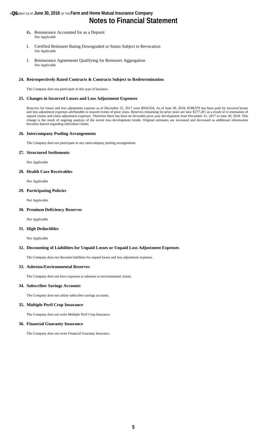### **s@6** MENT AS OF **June 30, 2018** OF THE **Farm and Home Mutual Insurance Company Notes to Financial Statement**

- **G.** Reinsurance Accounted for as a Deposit Not Applicable
- I. Certified Reinsurer Rating Downgraded or Status Subject to Revocation Not Applicable
- J. Reinsurance Agreements Qualifying for Reinsurer Aggregation Not Applicable

#### **24. Retrospectively Rated Contracts & Contracts Subject to Redetermination**

The Company does not participate in this type of business.

#### **25. Changes in Incurred Losses and Loss Adjustment Expenses**

Reserves for losses and loss adjustment expense as of December 31, 2017 were \$950,634. As of June 30, 2018, \$198,970 has been paid for incurred losses and loss adjustment expenses attributable to insured events of prior years. Reserves remaining for prior years are now \$277,201 as a result of re-estimation of unpaid claims and claim adjustment expenses. Therefore there has been no favorable prior year development from December 31, 2017 to June 30, 2018. This change is the result of ongoing analysis of the recent loss development trends. Original estimates are increased and decreased as additional information becomes known regarding individual claims.

#### **26. Intercompany Pooling Arrangements**

The Company does not participate in any intercompany pooling arrangements.

#### **27. Structured Settlements**

Not Applicable

#### **28. Health Care Receivables**

Not Applicable

#### **29. Participating Policies**

Not Applicable

#### **30. Premium Deficiency Reserves**

Not Applicable

#### **31. High Deductibles**

Not Applicable

#### **32. Discounting of Liabilities for Unpaid Losses or Unpaid Loss Adjustment Expenses**

The Company does not discount liabilities for unpaid losses and loss adjustment expenses.

#### **33. Asbestos/Environmental Reserves**

The Company does not have exposure to asbestos or environmental claims.

#### **34. Subscriber Savings Accounts**

The Company does not utilize subscriber savings accounts.

### **35. Multiple Peril Crop Insurance**

The Company does not write Multiple Peril Crop Insurance.

#### **36. Financial Guaranty Insurance**

The Company does not write Financial Guaranty Insurance.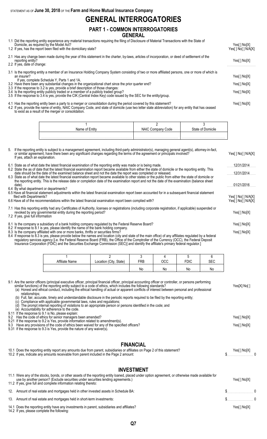STATEMENT AS OF **June 30, 2018** OF THE **Farm and Home Mutual Insurance Company**

## **GENERAL INTERROGATORIES**

### **PART 1 - COMMON INTERROGATORIES GENERAL**

1.1 Did the reporting entity experience any material transactions requiring the filing of Disclosure of Material Transactions with the State of

| Domicile, as required by the Model Act?<br>1.2 If yes, has the report been filed with the domiciliary state?                                                                                                                                                                                   | Yes[ ] No[X]<br>Yes[ ] No[ ] N/A[X] |
|------------------------------------------------------------------------------------------------------------------------------------------------------------------------------------------------------------------------------------------------------------------------------------------------|-------------------------------------|
| 2.1 Has any change been made during the year of this statement in the charter, by-laws, articles of incorporation, or deed of settlement of the<br>reporting entity?<br>2.2 If yes, date of change:                                                                                            | Yes[] No[X]                         |
| 3.1 Is the reporting entity a member of an Insurance Holding Company System consisting of two or more affiliated persons, one or more of which is<br>an insurer?<br>If yes, complete Schedule Y, Parts 1 and 1A.                                                                               | Yes[] No[X]                         |
| 3.2 Have there been any substantial changes in the organizational chart since the prior quarter end?                                                                                                                                                                                           | Yes[] No[X]                         |
| 3.3 If the response to 3.2 is yes, provide a brief description of those changes:<br>3.4 Is the reporting entity publicly traded or a member of a publicly traded group?<br>3.5 If the response to 3.4 is yes, provide the CIK (Central Index Key) code issued by the SEC for the entity/group. | Yes[] No[X]                         |

4.1 Has the reporting entity been a party to a merger or consolidation during the period covered by this statement? Yes[ ] No[X]

4.2 If yes, provide the name of entity, NAIC Company Code, and state of domicile (use two letter state abbreviation) for any entity that has ceased to exist as a result of the merger or consolidation.

| Name of Entity | <b>NAIC</b><br>Code<br><b>COLLIDAL</b> | State of !<br><b>Comicile</b> |
|----------------|----------------------------------------|-------------------------------|
|                |                                        |                               |
|                |                                        |                               |

| 5. If the reporting entity is subject to a management agreement, including third-party administrator(s), managing general agent(s), attorney-in-fact,<br>or similar agreement, have there been any significant changes regarding the terms of the agreement or principals involved?<br>If yes, attach an explanation.                 | Yes[] No[] N/A[X]                          |
|---------------------------------------------------------------------------------------------------------------------------------------------------------------------------------------------------------------------------------------------------------------------------------------------------------------------------------------|--------------------------------------------|
| 6.1 State as of what date the latest financial examination of the reporting entity was made or is being made.                                                                                                                                                                                                                         | 12/31/2014                                 |
| 6.2 State the as of date that the latest financial examination report became available from either the state of domicile or the reporting entity. This<br>date should be the date of the examined balance sheet and not the date the report was completed or released.                                                                | 12/31/2014                                 |
| 6.3 State as of what date the latest financial examination report became available to other states or the public from either the state of domicile or<br>the reporting entity. This is the release date or completion date of the examination report and not the date of the examination (balance sheet<br>date).                     | 01/21/2016                                 |
| 6.4 By what department or departments?<br>6.5 Have all financial statement adjustments within the latest financial examination report been accounted for in a subsequent financial statement<br>filed with Departments?<br>6.6 Have all of the recommendations within the latest financial examination report been complied with?     | Yes[ ] No[ ] N/A[X]<br>Yes[ ] No[ ] N/A[X] |
| 7.1 Has this reporting entity had any Certificates of Authority, licenses or registrations (including corporate registration, if applicable) suspended or<br>revoked by any governmental entity during the reporting period?<br>7.2 If yes, give full information                                                                     | Yes[ ] No[X]                               |
| 8.1 Is the company a subsidiary of a bank holding company regulated by the Federal Reserve Board?                                                                                                                                                                                                                                     | Yes[] No[X]                                |
| 8.2 If response to 8.1 is yes, please identify the name of the bank holding company.<br>8.3 Is the company affiliated with one or more banks, thrifts or securities firms?<br>8.4 If response to 8.3 is yes, please provide below the names and location (city and state of the main office) of any affiliates regulated by a federal | Yes[] No[X]                                |

regulatory services agency [i.e. the Federal Reserve Board (FRB), the Office of the Comptroller of the Currency (OCC), the Federal Deposit Insurance Corporation (FDIC) and the Securities Exchange Commission (SEC)] and identify the affiliate's primary federal regulator.]

| <br>Name | City, State)<br>Location | FRB                | ∩∩ר<br>ししし | <b>FDIC</b> | מ-ה |
|----------|--------------------------|--------------------|------------|-------------|-----|
|          |                          | Nr<br>$\mathbf{N}$ | Nr         | No          | No  |

| 9.1 Are the senior officers (principal executive officer, principal financial officer, principal accounting officer or controller, or persons performing<br>similar functions) of the reporting entity subject to a code of ethics, which includes the following standards?<br>(a) Honest and ethical conduct, including the ethical handling of actual or apparent conflicts of interest between personal and professional<br>relationships;<br>(b) Full, fair, accurate, timely and understandable disclosure in the periodic reports required to be filed by the reporting entity;<br>Compliance with applicable governmental laws, rules and regulations;<br>The prompt internal reporting of violations to an appropriate person or persons identified in the code; and<br>(e) Accountability for adherence to the code.<br>9.11 If the response to 9.1 is No, please explain:<br>Has the code of ethics for senior managers been amended?<br>9.2<br>If the response to 9.2 is Yes, provide information related to amendment(s).<br>9.21<br>Have any provisions of the code of ethics been waived for any of the specified officers?<br>9.3<br>9.31 If the response to 9.3 is Yes, provide the nature of any waiver(s). | Yes[X] No[ ]<br>Yes[ ] No[X]<br>Yes[] No[X] |
|------------------------------------------------------------------------------------------------------------------------------------------------------------------------------------------------------------------------------------------------------------------------------------------------------------------------------------------------------------------------------------------------------------------------------------------------------------------------------------------------------------------------------------------------------------------------------------------------------------------------------------------------------------------------------------------------------------------------------------------------------------------------------------------------------------------------------------------------------------------------------------------------------------------------------------------------------------------------------------------------------------------------------------------------------------------------------------------------------------------------------------------------------------------------------------------------------------------------------|---------------------------------------------|
| <b>FINANCIAL</b><br>10.1 Does the reporting entity report any amounts due from parent, subsidiaries or affiliates on Page 2 of this statement?<br>10.2 If yes, indicate any amounts receivable from parent included in the Page 2 amount:                                                                                                                                                                                                                                                                                                                                                                                                                                                                                                                                                                                                                                                                                                                                                                                                                                                                                                                                                                                    | Yes[ ] No[X]                                |

## **INVESTMENT**

| 11.1 Were any of the stocks, bonds, or other assets of the reporting entity loaned, placed under option agreement, or otherwise made available for<br>use by another person? (Exclude securities under securities lending agreements.)<br>11.2 If yes, give full and complete information relating thereto: | Yes[ ] No[X]    |  |
|-------------------------------------------------------------------------------------------------------------------------------------------------------------------------------------------------------------------------------------------------------------------------------------------------------------|-----------------|--|
| 12. Amount of real estate and mortgages held in other invested assets in Schedule BA:                                                                                                                                                                                                                       | $\sim$ $\sim$ 0 |  |
| 13. Amount of real estate and mortgages held in short-term investments:                                                                                                                                                                                                                                     | $\sim$ $\sim$ 0 |  |
| 14.1 Does the reporting entity have any investments in parent, subsidiaries and affiliates?<br>14.2 If yes, please complete the following:                                                                                                                                                                  | Yes[ ] No[X]    |  |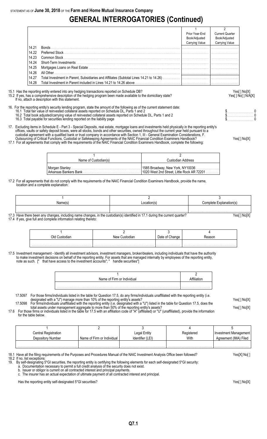# **GENERAL INTERROGATORIES (Continued)**

|       | Prior Year-End<br>Book/Adjusted<br>Carrying Value | <b>Current Quarter</b><br>Book/Adjusted<br><b>Carrying Value</b> |
|-------|---------------------------------------------------|------------------------------------------------------------------|
| 14.21 |                                                   |                                                                  |
| 14.22 |                                                   |                                                                  |
| 14.23 |                                                   |                                                                  |
| 14.24 |                                                   |                                                                  |
| 14.25 |                                                   |                                                                  |
| 14.26 |                                                   |                                                                  |
| 14.27 |                                                   |                                                                  |
| 14.28 |                                                   |                                                                  |

15.1 Has the reporting entity entered into any hedging transactions reported on Schedule DB?<br>15.2 If yes, has a comprehensive description of the hedging program been made available to the domiciliary state?<br>Yes[] No[] N/A[

If no, attach a description with this statement.

16. For the reporting entity's security lending program, state the amount of the following as of the current statement date: 16.1 Total fair value of reinvested collateral assets reported on Schedule DL, Parts 1 and 2 **but a set a set a set a** set a set a set a set a protect on Schedule DL, Parts 1 and 2 **but a set a set a set a set a set a set** 

15.2 If yes, has a comprehensive description of the hedging program been made available to the domiciliary state?

- 16.2 Total book adjusted/carrying value of reinvested collateral assets reported on Schedule DL, Parts 1 and 2 \$. . . . . . . . . . . . . . . . . . . . . . . 0 16.2 Total book adjusted/carrying value of reinvested collateral assets reported on Schedule DL, Parts 1 and 2<br>16.3 Total payable for securities lending reported on the liability page the schedule DL, Parts 1 and 2 to the
- 17. Excluding items in Schedule E Part 3 Special Deposits, real estate, mortgage loans and investments held physically in the reporting entity's offices, vaults or safety deposit boxes, were all stocks, bonds and other securities, owned throughout the current year held pursuant to a
- custodial agreement with a qualified bank or trust company in accordance with Section 1, III General Examination Considerations, F.
- Outsourcing of Critical Functions, Custodial or Safekeeping Agreements of the NAIC Financial Condition Examiners Handbook? Yes[ ] No[X] 17.1 For all agreements that comply with the requirements of the NAIC Financial Condition Examiners Handbook, complete the following:

1 and  $\overline{2}$ Name of Custodian(s) and Custodian Address Morgan Stanley . . . . . . . . . . . . . . . . . . . . . . . . . . . . . . . . . . . . . . . . . . . . . . . . . . . . . . . . . . . . 1585 Broadway, New York, NY10036 . . . . . . . . . . . . . . . . . . . . 1020 West 2nd Street, Little Rock AR 72201

17.2 For all agreements that do not comply with the requirements of the NAIC Financial Condition Examiners Handbook, provide the name, location and a complete explanation:

| Name(s) | Location(s) | Complete Explanation(s) |
|---------|-------------|-------------------------|
|         |             |                         |

17.3 Have there been any changes, including name changes, in the custodian(s) identified in 17.1 during the current quarter? 17.4 If yes, give full and complete information relating thereto:

| Ν۵۱۸ | ∶hanɑe<br>מזפו |  |  |
|------|----------------|--|--|
|      |                |  |  |
|      |                |  |  |

17.5 Investment management - Identify all investment advisors, investment managers, broker/dealers, including individuals that have the authority to make investment decisions on behalf of the reporting entity. For assets that are managed internally by employees of the reporting entity, note as such. [" that have access to the investment accounts"; " handle securities"]

| Name of Firm or Individual |  |
|----------------------------|--|
|                            |  |
|                            |  |

- 17.5097 For those firms/individuals listed in the table for Question 17.5, do any firms/individuals unaffiliated with the reporting entity (i.e. designated with a "U") manage more than 10% of the reporting entity's assets? Yes[ ] No[X] 17.5098 For firms/individuals unaffiliated with the reporting entity (i.e. designated with a "U") listed in the table for Question 17.5, does the
	- total assets under management aggregate to more than 50% of the reporting entity's assets? Yese and the reporting than the reporting entity's assets?
- 17.6 For those firms or individuals listed in the table for 17.5 with an affiliation code of "A" (affiliated) or "U" (unaffiliated), provide the information for the table below.

| Central Registration |                            | Legal Entity     | Registered | Investment Management |
|----------------------|----------------------------|------------------|------------|-----------------------|
| Depository Number    | Name of Firm or Individual | Identifier (LEI) | With       | Agreement (IMA) Filed |
|                      |                            |                  |            |                       |
|                      |                            |                  |            |                       |

18.1 Have all the filing requirements of the Purposes and Procedures Manual of the NAIC Investment Analysis Office been followed? Yes[X] No[ ] 18.2 If no, list exceptions:

- 19. By self-designating 5\*GI securities, the reporting entity is certifying the following elements for each self-designated 5\*GI security:
	- a. Documentation necessary to permit a full credit analysis of the security does not exist. b. Issuer or obligor is current on all contracted interest and principal payments.

c. The insurer has an actual expectation of ultimate payment of all contracted interest and principal.

Has the reporting entity self-designated 5\*GI securities? The reporting entity self-designated 5\*GI securities  $Y$ es[ ] No[X]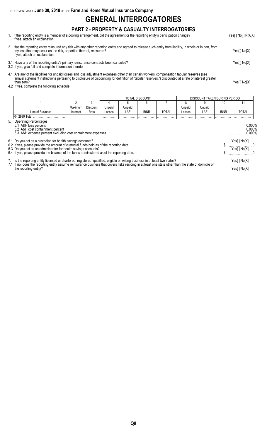STATEMENT AS OF **June 30, 2018** OF THE **Farm and Home Mutual Insurance Company**

## **GENERAL INTERROGATORIES**

### **PART 2 - PROPERTY & CASUALTY INTERROGATORIES**

- 1. If the reporting entity is a member of a pooling arrangement, did the agreement or the reporting entity's participation change? Yes[ ] No[ ] N/A[X] If yes, attach an explanation.
- 2 . Has the reporting entity reinsured any risk with any other reporting entity and agreed to release such entity from liability, in whole or in part, from any loss that may occur on the risk, or portion thereof, reinsured? Yes[ ] No[X] If yes, attach an explanation.
- 3.1 Have any of the reporting entity's primary reinsurance contracts been canceled? Yes[ ] No[X]
- 3.2 If yes, give full and complete information thereto
- 4.1 Are any of the liabilities for unpaid losses and loss adjustment expenses other than certain workers' compensation tabular reserves (see annual statement instructions pertaining to disclosure of discounting for definition of "tabular reserves,") discounted at a rate of interest greater than zero? Yes[ ] No[X]
- 4.2 If yes, complete the following schedule:

|                                                                                                                                                                                                                                                                                                                 | TOTAL DISCOUNT<br>DISCOUNT TAKEN DURING PERIOD |          |        |        |             |              |        |                                                     |             |                            |
|-----------------------------------------------------------------------------------------------------------------------------------------------------------------------------------------------------------------------------------------------------------------------------------------------------------------|------------------------------------------------|----------|--------|--------|-------------|--------------|--------|-----------------------------------------------------|-------------|----------------------------|
|                                                                                                                                                                                                                                                                                                                 | 2                                              | 3        |        |        | 6           |              |        | 9                                                   | 10          | 11                         |
|                                                                                                                                                                                                                                                                                                                 | Maximum                                        | Discount | Unpaid | Unpaid |             |              | Unpaid | Unpaid                                              |             |                            |
| Line of Business                                                                                                                                                                                                                                                                                                | Interest                                       | Rate     | Losses | LAE    | <b>IBNR</b> | <b>TOTAL</b> | Losses | LAE                                                 | <b>IBNR</b> | TOTAL                      |
| 04.2999 Total                                                                                                                                                                                                                                                                                                   |                                                |          |        |        |             |              |        |                                                     |             |                            |
| 5. Operating Percentages:<br>5.1 A&H loss percent<br>5.2 A&H cost containment percent<br>5.3 A&H expense percent excluding cost containment expenses                                                                                                                                                            |                                                |          |        |        |             |              |        | $\ldots$ 0.000%<br>$0.000\%$<br>$\sim$<br>$0.000\%$ |             |                            |
| 6.1 Do you act as a custodian for health savings accounts?<br>6.2 If yes, please provide the amount of custodial funds held as of the reporting date.                                                                                                                                                           |                                                |          |        |        |             |              |        |                                                     |             | Yes[] No[X]                |
| 6.3 Do you act as an administrator for health savings accounts?<br>6.4 If yes, please provide the balance of the funds administered as of the reporting date.                                                                                                                                                   |                                                |          |        |        |             |              |        |                                                     |             | Yes[] No[X]                |
| 7. Is the reporting entity licensed or chartered, registered, qualified, eligible or writing business in at least two states?<br>7.1 If no, does the reporting entity assume reinsurance business that covers risks residing in at least one state other than the state of domicile of<br>the reporting entity? |                                                |          |        |        |             |              |        |                                                     |             | Yes[] No[X]<br>Yes[] No[X] |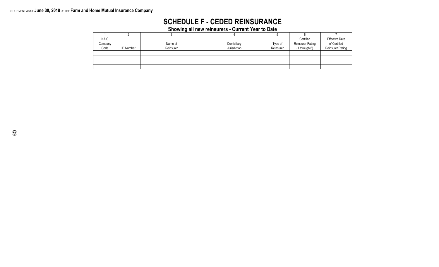### STATEMENT AS OF **June 30, 2018** OF THE **Farm and Home Mutual Insurance Company**

# **SCHEDULE F - CEDED REINSURANCE**

**Showing all new reinsurers - Current Year to Date**

| <b>NAIC</b> |                  |           |              |           | Certified               | <b>Effective Date</b>   |
|-------------|------------------|-----------|--------------|-----------|-------------------------|-------------------------|
| Company     |                  | Name of   | Domiciliary  | Type of   | <b>Reinsurer Rating</b> | of Certified            |
| Code        | <b>ID Number</b> | Reinsurer | Jurisdiction | Reinsurer | (1 through 6)           | <b>Reinsurer Rating</b> |
|             |                  |           |              |           |                         |                         |
|             |                  |           |              |           |                         |                         |
|             |                  |           |              |           |                         |                         |
|             |                  |           |              |           |                         |                         |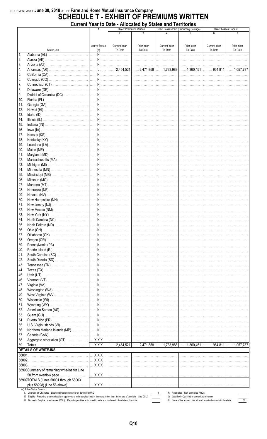# STATEMENT AS OF June 30, 2018 OF THE Farm and Home Mutual Insurance Company<br>SCHEDULE T - EXHIBIT OF PREMIUMS WRITTEN Current Year to Date - Allocated by States and Territories

| 3<br>2<br><b>Current Year</b><br><b>Active Status</b><br><b>Current Year</b><br>Prior Year<br><b>Current Year</b><br>Prior Year<br>Prior Year<br>To Date<br>To Date<br>To Date<br>To Date<br>To Date<br>To Date<br>States, etc.<br>(a)<br>$\mathbf{1}$ .<br>N<br>   <br>.<br>.<br>.<br>2.<br>.<br>.<br>3.<br>.<br>4.<br>5.<br> <br>6.<br>.<br>.<br>.<br>7.<br> <br>.<br>8.<br>.<br>9.<br>.<br>10.<br>11.<br>.<br>12.<br>.<br>13.<br>.<br>.<br>.<br>14.<br>.<br>.<br>15.<br>.<br>.<br>16.<br>.<br>17.<br>.<br>.<br>18.<br>.<br>.<br>19.<br>.<br>.<br>20.<br>21.<br>22.<br>23.<br>.<br>24.<br>.<br>25.<br>.<br>.<br>26.<br>.<br>.<br>.<br>27.<br>.<br>.<br>.<br>28.<br> <br> <br>.<br>29.<br>.<br>. <b>.</b> .<br>.<br>30.<br>.<br>.<br>31.<br>.<br>.<br>32.<br>.<br>.<br>33.<br>.<br>34.<br>35.<br>   <br>.<br>.<br>36.<br>.<br>37.<br>.<br>.<br>.<br>38.<br>.<br>.<br>.<br>39.<br> <br> <br>.<br>.<br>40.<br> <br> <br>.<br>.<br>41.<br>.<br>. <b>.</b> .<br>.<br>42.<br>.<br>.<br>.<br>43.<br>.<br>44.<br>.<br>.<br>.<br>45.<br>46.<br>47.<br>48.<br>.<br> <br>49.<br>.<br>.<br>.<br>50.<br>.<br>.<br>.<br>51.<br> <br> <br>.<br>.<br>52.<br>.<br>.<br>53.<br>.<br>.<br>54.<br>.<br>.<br>.<br>55.<br>.<br>56.<br>.<br>57.<br>58.<br>.<br>59.<br><b>DETAILS OF WRITE-INS</b><br>$\ldots$ X X X $\ldots$<br>.<br>.<br>.<br>.<br>.<br>$$ $XXX$<br>.<br>.<br>.<br>.<br>.<br>58003.<br>$$ $XXX$<br>.<br>.<br>.<br>.<br>.<br>58998Summary of remaining write-ins for Line<br>$\ldots$ X X X $\ldots$<br>58 from overflow page<br>.<br>58999TOTALS (Lines 58001 through 58003<br>plus 58998) (Line 58 above)<br>$\ldots$ X X X $\ldots$<br>.<br>.<br>(a) Active Status Counts:<br>D. Pogistered, Nep demiciled PPCs |                                                                 | w paw | THIVOUGH MY<br>Direct Premiums Written | <b>OWNO GIN I CHINDING</b> | Direct Losses Paid (Deducting Salvage) | Direct Losses Unpaid |
|---------------------------------------------------------------------------------------------------------------------------------------------------------------------------------------------------------------------------------------------------------------------------------------------------------------------------------------------------------------------------------------------------------------------------------------------------------------------------------------------------------------------------------------------------------------------------------------------------------------------------------------------------------------------------------------------------------------------------------------------------------------------------------------------------------------------------------------------------------------------------------------------------------------------------------------------------------------------------------------------------------------------------------------------------------------------------------------------------------------------------------------------------------------------------------------------------------------------------------------------------------------------------------------------------------------------------------------------------------------------------------------------------------------------------------------------------------------------------------------------------------------------------------------------------------------------------------------------------------------------------------------------------------------------------------------------------------------|-----------------------------------------------------------------|-------|----------------------------------------|----------------------------|----------------------------------------|----------------------|
|                                                                                                                                                                                                                                                                                                                                                                                                                                                                                                                                                                                                                                                                                                                                                                                                                                                                                                                                                                                                                                                                                                                                                                                                                                                                                                                                                                                                                                                                                                                                                                                                                                                                                                               |                                                                 |       |                                        |                            |                                        |                      |
|                                                                                                                                                                                                                                                                                                                                                                                                                                                                                                                                                                                                                                                                                                                                                                                                                                                                                                                                                                                                                                                                                                                                                                                                                                                                                                                                                                                                                                                                                                                                                                                                                                                                                                               |                                                                 |       |                                        |                            |                                        |                      |
|                                                                                                                                                                                                                                                                                                                                                                                                                                                                                                                                                                                                                                                                                                                                                                                                                                                                                                                                                                                                                                                                                                                                                                                                                                                                                                                                                                                                                                                                                                                                                                                                                                                                                                               |                                                                 |       |                                        |                            |                                        |                      |
|                                                                                                                                                                                                                                                                                                                                                                                                                                                                                                                                                                                                                                                                                                                                                                                                                                                                                                                                                                                                                                                                                                                                                                                                                                                                                                                                                                                                                                                                                                                                                                                                                                                                                                               |                                                                 |       |                                        |                            |                                        |                      |
|                                                                                                                                                                                                                                                                                                                                                                                                                                                                                                                                                                                                                                                                                                                                                                                                                                                                                                                                                                                                                                                                                                                                                                                                                                                                                                                                                                                                                                                                                                                                                                                                                                                                                                               |                                                                 |       |                                        |                            |                                        |                      |
|                                                                                                                                                                                                                                                                                                                                                                                                                                                                                                                                                                                                                                                                                                                                                                                                                                                                                                                                                                                                                                                                                                                                                                                                                                                                                                                                                                                                                                                                                                                                                                                                                                                                                                               |                                                                 |       |                                        |                            |                                        |                      |
|                                                                                                                                                                                                                                                                                                                                                                                                                                                                                                                                                                                                                                                                                                                                                                                                                                                                                                                                                                                                                                                                                                                                                                                                                                                                                                                                                                                                                                                                                                                                                                                                                                                                                                               |                                                                 |       |                                        |                            |                                        |                      |
|                                                                                                                                                                                                                                                                                                                                                                                                                                                                                                                                                                                                                                                                                                                                                                                                                                                                                                                                                                                                                                                                                                                                                                                                                                                                                                                                                                                                                                                                                                                                                                                                                                                                                                               |                                                                 |       |                                        |                            |                                        |                      |
|                                                                                                                                                                                                                                                                                                                                                                                                                                                                                                                                                                                                                                                                                                                                                                                                                                                                                                                                                                                                                                                                                                                                                                                                                                                                                                                                                                                                                                                                                                                                                                                                                                                                                                               |                                                                 |       |                                        |                            |                                        |                      |
|                                                                                                                                                                                                                                                                                                                                                                                                                                                                                                                                                                                                                                                                                                                                                                                                                                                                                                                                                                                                                                                                                                                                                                                                                                                                                                                                                                                                                                                                                                                                                                                                                                                                                                               |                                                                 |       |                                        |                            |                                        |                      |
|                                                                                                                                                                                                                                                                                                                                                                                                                                                                                                                                                                                                                                                                                                                                                                                                                                                                                                                                                                                                                                                                                                                                                                                                                                                                                                                                                                                                                                                                                                                                                                                                                                                                                                               |                                                                 |       |                                        |                            |                                        |                      |
|                                                                                                                                                                                                                                                                                                                                                                                                                                                                                                                                                                                                                                                                                                                                                                                                                                                                                                                                                                                                                                                                                                                                                                                                                                                                                                                                                                                                                                                                                                                                                                                                                                                                                                               |                                                                 |       |                                        |                            |                                        |                      |
|                                                                                                                                                                                                                                                                                                                                                                                                                                                                                                                                                                                                                                                                                                                                                                                                                                                                                                                                                                                                                                                                                                                                                                                                                                                                                                                                                                                                                                                                                                                                                                                                                                                                                                               |                                                                 |       |                                        |                            |                                        |                      |
|                                                                                                                                                                                                                                                                                                                                                                                                                                                                                                                                                                                                                                                                                                                                                                                                                                                                                                                                                                                                                                                                                                                                                                                                                                                                                                                                                                                                                                                                                                                                                                                                                                                                                                               |                                                                 |       |                                        |                            |                                        |                      |
|                                                                                                                                                                                                                                                                                                                                                                                                                                                                                                                                                                                                                                                                                                                                                                                                                                                                                                                                                                                                                                                                                                                                                                                                                                                                                                                                                                                                                                                                                                                                                                                                                                                                                                               |                                                                 |       |                                        |                            |                                        |                      |
|                                                                                                                                                                                                                                                                                                                                                                                                                                                                                                                                                                                                                                                                                                                                                                                                                                                                                                                                                                                                                                                                                                                                                                                                                                                                                                                                                                                                                                                                                                                                                                                                                                                                                                               |                                                                 |       |                                        |                            |                                        |                      |
|                                                                                                                                                                                                                                                                                                                                                                                                                                                                                                                                                                                                                                                                                                                                                                                                                                                                                                                                                                                                                                                                                                                                                                                                                                                                                                                                                                                                                                                                                                                                                                                                                                                                                                               |                                                                 |       |                                        |                            |                                        |                      |
|                                                                                                                                                                                                                                                                                                                                                                                                                                                                                                                                                                                                                                                                                                                                                                                                                                                                                                                                                                                                                                                                                                                                                                                                                                                                                                                                                                                                                                                                                                                                                                                                                                                                                                               |                                                                 |       |                                        |                            |                                        |                      |
|                                                                                                                                                                                                                                                                                                                                                                                                                                                                                                                                                                                                                                                                                                                                                                                                                                                                                                                                                                                                                                                                                                                                                                                                                                                                                                                                                                                                                                                                                                                                                                                                                                                                                                               |                                                                 |       |                                        |                            |                                        |                      |
|                                                                                                                                                                                                                                                                                                                                                                                                                                                                                                                                                                                                                                                                                                                                                                                                                                                                                                                                                                                                                                                                                                                                                                                                                                                                                                                                                                                                                                                                                                                                                                                                                                                                                                               |                                                                 |       |                                        |                            |                                        |                      |
|                                                                                                                                                                                                                                                                                                                                                                                                                                                                                                                                                                                                                                                                                                                                                                                                                                                                                                                                                                                                                                                                                                                                                                                                                                                                                                                                                                                                                                                                                                                                                                                                                                                                                                               |                                                                 |       |                                        |                            |                                        |                      |
|                                                                                                                                                                                                                                                                                                                                                                                                                                                                                                                                                                                                                                                                                                                                                                                                                                                                                                                                                                                                                                                                                                                                                                                                                                                                                                                                                                                                                                                                                                                                                                                                                                                                                                               |                                                                 |       |                                        |                            |                                        |                      |
|                                                                                                                                                                                                                                                                                                                                                                                                                                                                                                                                                                                                                                                                                                                                                                                                                                                                                                                                                                                                                                                                                                                                                                                                                                                                                                                                                                                                                                                                                                                                                                                                                                                                                                               |                                                                 |       |                                        |                            |                                        |                      |
|                                                                                                                                                                                                                                                                                                                                                                                                                                                                                                                                                                                                                                                                                                                                                                                                                                                                                                                                                                                                                                                                                                                                                                                                                                                                                                                                                                                                                                                                                                                                                                                                                                                                                                               |                                                                 |       |                                        |                            |                                        |                      |
|                                                                                                                                                                                                                                                                                                                                                                                                                                                                                                                                                                                                                                                                                                                                                                                                                                                                                                                                                                                                                                                                                                                                                                                                                                                                                                                                                                                                                                                                                                                                                                                                                                                                                                               |                                                                 |       |                                        |                            |                                        |                      |
|                                                                                                                                                                                                                                                                                                                                                                                                                                                                                                                                                                                                                                                                                                                                                                                                                                                                                                                                                                                                                                                                                                                                                                                                                                                                                                                                                                                                                                                                                                                                                                                                                                                                                                               |                                                                 |       |                                        |                            |                                        |                      |
|                                                                                                                                                                                                                                                                                                                                                                                                                                                                                                                                                                                                                                                                                                                                                                                                                                                                                                                                                                                                                                                                                                                                                                                                                                                                                                                                                                                                                                                                                                                                                                                                                                                                                                               |                                                                 |       |                                        |                            |                                        |                      |
|                                                                                                                                                                                                                                                                                                                                                                                                                                                                                                                                                                                                                                                                                                                                                                                                                                                                                                                                                                                                                                                                                                                                                                                                                                                                                                                                                                                                                                                                                                                                                                                                                                                                                                               |                                                                 |       |                                        |                            |                                        |                      |
|                                                                                                                                                                                                                                                                                                                                                                                                                                                                                                                                                                                                                                                                                                                                                                                                                                                                                                                                                                                                                                                                                                                                                                                                                                                                                                                                                                                                                                                                                                                                                                                                                                                                                                               |                                                                 |       |                                        |                            |                                        |                      |
|                                                                                                                                                                                                                                                                                                                                                                                                                                                                                                                                                                                                                                                                                                                                                                                                                                                                                                                                                                                                                                                                                                                                                                                                                                                                                                                                                                                                                                                                                                                                                                                                                                                                                                               |                                                                 |       |                                        |                            |                                        |                      |
|                                                                                                                                                                                                                                                                                                                                                                                                                                                                                                                                                                                                                                                                                                                                                                                                                                                                                                                                                                                                                                                                                                                                                                                                                                                                                                                                                                                                                                                                                                                                                                                                                                                                                                               |                                                                 |       |                                        |                            |                                        |                      |
|                                                                                                                                                                                                                                                                                                                                                                                                                                                                                                                                                                                                                                                                                                                                                                                                                                                                                                                                                                                                                                                                                                                                                                                                                                                                                                                                                                                                                                                                                                                                                                                                                                                                                                               |                                                                 |       |                                        |                            |                                        |                      |
|                                                                                                                                                                                                                                                                                                                                                                                                                                                                                                                                                                                                                                                                                                                                                                                                                                                                                                                                                                                                                                                                                                                                                                                                                                                                                                                                                                                                                                                                                                                                                                                                                                                                                                               |                                                                 |       |                                        |                            |                                        |                      |
|                                                                                                                                                                                                                                                                                                                                                                                                                                                                                                                                                                                                                                                                                                                                                                                                                                                                                                                                                                                                                                                                                                                                                                                                                                                                                                                                                                                                                                                                                                                                                                                                                                                                                                               |                                                                 |       |                                        |                            |                                        |                      |
|                                                                                                                                                                                                                                                                                                                                                                                                                                                                                                                                                                                                                                                                                                                                                                                                                                                                                                                                                                                                                                                                                                                                                                                                                                                                                                                                                                                                                                                                                                                                                                                                                                                                                                               |                                                                 |       |                                        |                            |                                        |                      |
|                                                                                                                                                                                                                                                                                                                                                                                                                                                                                                                                                                                                                                                                                                                                                                                                                                                                                                                                                                                                                                                                                                                                                                                                                                                                                                                                                                                                                                                                                                                                                                                                                                                                                                               |                                                                 |       |                                        |                            |                                        |                      |
|                                                                                                                                                                                                                                                                                                                                                                                                                                                                                                                                                                                                                                                                                                                                                                                                                                                                                                                                                                                                                                                                                                                                                                                                                                                                                                                                                                                                                                                                                                                                                                                                                                                                                                               |                                                                 |       |                                        |                            |                                        |                      |
|                                                                                                                                                                                                                                                                                                                                                                                                                                                                                                                                                                                                                                                                                                                                                                                                                                                                                                                                                                                                                                                                                                                                                                                                                                                                                                                                                                                                                                                                                                                                                                                                                                                                                                               |                                                                 |       |                                        |                            |                                        |                      |
|                                                                                                                                                                                                                                                                                                                                                                                                                                                                                                                                                                                                                                                                                                                                                                                                                                                                                                                                                                                                                                                                                                                                                                                                                                                                                                                                                                                                                                                                                                                                                                                                                                                                                                               |                                                                 |       |                                        |                            |                                        |                      |
|                                                                                                                                                                                                                                                                                                                                                                                                                                                                                                                                                                                                                                                                                                                                                                                                                                                                                                                                                                                                                                                                                                                                                                                                                                                                                                                                                                                                                                                                                                                                                                                                                                                                                                               |                                                                 |       |                                        |                            |                                        |                      |
|                                                                                                                                                                                                                                                                                                                                                                                                                                                                                                                                                                                                                                                                                                                                                                                                                                                                                                                                                                                                                                                                                                                                                                                                                                                                                                                                                                                                                                                                                                                                                                                                                                                                                                               |                                                                 |       |                                        |                            |                                        |                      |
|                                                                                                                                                                                                                                                                                                                                                                                                                                                                                                                                                                                                                                                                                                                                                                                                                                                                                                                                                                                                                                                                                                                                                                                                                                                                                                                                                                                                                                                                                                                                                                                                                                                                                                               |                                                                 |       |                                        |                            |                                        |                      |
|                                                                                                                                                                                                                                                                                                                                                                                                                                                                                                                                                                                                                                                                                                                                                                                                                                                                                                                                                                                                                                                                                                                                                                                                                                                                                                                                                                                                                                                                                                                                                                                                                                                                                                               |                                                                 |       |                                        |                            |                                        |                      |
|                                                                                                                                                                                                                                                                                                                                                                                                                                                                                                                                                                                                                                                                                                                                                                                                                                                                                                                                                                                                                                                                                                                                                                                                                                                                                                                                                                                                                                                                                                                                                                                                                                                                                                               |                                                                 |       |                                        |                            |                                        |                      |
|                                                                                                                                                                                                                                                                                                                                                                                                                                                                                                                                                                                                                                                                                                                                                                                                                                                                                                                                                                                                                                                                                                                                                                                                                                                                                                                                                                                                                                                                                                                                                                                                                                                                                                               |                                                                 |       |                                        |                            |                                        |                      |
|                                                                                                                                                                                                                                                                                                                                                                                                                                                                                                                                                                                                                                                                                                                                                                                                                                                                                                                                                                                                                                                                                                                                                                                                                                                                                                                                                                                                                                                                                                                                                                                                                                                                                                               |                                                                 |       |                                        |                            |                                        |                      |
|                                                                                                                                                                                                                                                                                                                                                                                                                                                                                                                                                                                                                                                                                                                                                                                                                                                                                                                                                                                                                                                                                                                                                                                                                                                                                                                                                                                                                                                                                                                                                                                                                                                                                                               |                                                                 |       |                                        |                            |                                        |                      |
|                                                                                                                                                                                                                                                                                                                                                                                                                                                                                                                                                                                                                                                                                                                                                                                                                                                                                                                                                                                                                                                                                                                                                                                                                                                                                                                                                                                                                                                                                                                                                                                                                                                                                                               |                                                                 |       |                                        |                            |                                        |                      |
|                                                                                                                                                                                                                                                                                                                                                                                                                                                                                                                                                                                                                                                                                                                                                                                                                                                                                                                                                                                                                                                                                                                                                                                                                                                                                                                                                                                                                                                                                                                                                                                                                                                                                                               |                                                                 |       |                                        |                            |                                        |                      |
|                                                                                                                                                                                                                                                                                                                                                                                                                                                                                                                                                                                                                                                                                                                                                                                                                                                                                                                                                                                                                                                                                                                                                                                                                                                                                                                                                                                                                                                                                                                                                                                                                                                                                                               |                                                                 |       |                                        |                            |                                        |                      |
|                                                                                                                                                                                                                                                                                                                                                                                                                                                                                                                                                                                                                                                                                                                                                                                                                                                                                                                                                                                                                                                                                                                                                                                                                                                                                                                                                                                                                                                                                                                                                                                                                                                                                                               |                                                                 |       |                                        |                            |                                        |                      |
|                                                                                                                                                                                                                                                                                                                                                                                                                                                                                                                                                                                                                                                                                                                                                                                                                                                                                                                                                                                                                                                                                                                                                                                                                                                                                                                                                                                                                                                                                                                                                                                                                                                                                                               |                                                                 |       |                                        |                            |                                        |                      |
|                                                                                                                                                                                                                                                                                                                                                                                                                                                                                                                                                                                                                                                                                                                                                                                                                                                                                                                                                                                                                                                                                                                                                                                                                                                                                                                                                                                                                                                                                                                                                                                                                                                                                                               |                                                                 |       |                                        |                            |                                        |                      |
|                                                                                                                                                                                                                                                                                                                                                                                                                                                                                                                                                                                                                                                                                                                                                                                                                                                                                                                                                                                                                                                                                                                                                                                                                                                                                                                                                                                                                                                                                                                                                                                                                                                                                                               |                                                                 |       |                                        |                            |                                        |                      |
|                                                                                                                                                                                                                                                                                                                                                                                                                                                                                                                                                                                                                                                                                                                                                                                                                                                                                                                                                                                                                                                                                                                                                                                                                                                                                                                                                                                                                                                                                                                                                                                                                                                                                                               |                                                                 |       |                                        |                            |                                        |                      |
|                                                                                                                                                                                                                                                                                                                                                                                                                                                                                                                                                                                                                                                                                                                                                                                                                                                                                                                                                                                                                                                                                                                                                                                                                                                                                                                                                                                                                                                                                                                                                                                                                                                                                                               |                                                                 |       |                                        |                            |                                        |                      |
|                                                                                                                                                                                                                                                                                                                                                                                                                                                                                                                                                                                                                                                                                                                                                                                                                                                                                                                                                                                                                                                                                                                                                                                                                                                                                                                                                                                                                                                                                                                                                                                                                                                                                                               |                                                                 |       |                                        |                            |                                        |                      |
|                                                                                                                                                                                                                                                                                                                                                                                                                                                                                                                                                                                                                                                                                                                                                                                                                                                                                                                                                                                                                                                                                                                                                                                                                                                                                                                                                                                                                                                                                                                                                                                                                                                                                                               |                                                                 |       |                                        |                            |                                        |                      |
|                                                                                                                                                                                                                                                                                                                                                                                                                                                                                                                                                                                                                                                                                                                                                                                                                                                                                                                                                                                                                                                                                                                                                                                                                                                                                                                                                                                                                                                                                                                                                                                                                                                                                                               |                                                                 |       |                                        |                            |                                        |                      |
|                                                                                                                                                                                                                                                                                                                                                                                                                                                                                                                                                                                                                                                                                                                                                                                                                                                                                                                                                                                                                                                                                                                                                                                                                                                                                                                                                                                                                                                                                                                                                                                                                                                                                                               |                                                                 |       |                                        |                            |                                        |                      |
|                                                                                                                                                                                                                                                                                                                                                                                                                                                                                                                                                                                                                                                                                                                                                                                                                                                                                                                                                                                                                                                                                                                                                                                                                                                                                                                                                                                                                                                                                                                                                                                                                                                                                                               |                                                                 |       |                                        |                            |                                        |                      |
|                                                                                                                                                                                                                                                                                                                                                                                                                                                                                                                                                                                                                                                                                                                                                                                                                                                                                                                                                                                                                                                                                                                                                                                                                                                                                                                                                                                                                                                                                                                                                                                                                                                                                                               |                                                                 |       |                                        |                            |                                        |                      |
|                                                                                                                                                                                                                                                                                                                                                                                                                                                                                                                                                                                                                                                                                                                                                                                                                                                                                                                                                                                                                                                                                                                                                                                                                                                                                                                                                                                                                                                                                                                                                                                                                                                                                                               |                                                                 |       |                                        |                            |                                        |                      |
|                                                                                                                                                                                                                                                                                                                                                                                                                                                                                                                                                                                                                                                                                                                                                                                                                                                                                                                                                                                                                                                                                                                                                                                                                                                                                                                                                                                                                                                                                                                                                                                                                                                                                                               |                                                                 |       |                                        |                            |                                        |                      |
|                                                                                                                                                                                                                                                                                                                                                                                                                                                                                                                                                                                                                                                                                                                                                                                                                                                                                                                                                                                                                                                                                                                                                                                                                                                                                                                                                                                                                                                                                                                                                                                                                                                                                                               |                                                                 |       |                                        |                            |                                        |                      |
|                                                                                                                                                                                                                                                                                                                                                                                                                                                                                                                                                                                                                                                                                                                                                                                                                                                                                                                                                                                                                                                                                                                                                                                                                                                                                                                                                                                                                                                                                                                                                                                                                                                                                                               |                                                                 |       |                                        |                            |                                        |                      |
|                                                                                                                                                                                                                                                                                                                                                                                                                                                                                                                                                                                                                                                                                                                                                                                                                                                                                                                                                                                                                                                                                                                                                                                                                                                                                                                                                                                                                                                                                                                                                                                                                                                                                                               |                                                                 |       |                                        |                            |                                        |                      |
|                                                                                                                                                                                                                                                                                                                                                                                                                                                                                                                                                                                                                                                                                                                                                                                                                                                                                                                                                                                                                                                                                                                                                                                                                                                                                                                                                                                                                                                                                                                                                                                                                                                                                                               |                                                                 |       |                                        |                            |                                        |                      |
|                                                                                                                                                                                                                                                                                                                                                                                                                                                                                                                                                                                                                                                                                                                                                                                                                                                                                                                                                                                                                                                                                                                                                                                                                                                                                                                                                                                                                                                                                                                                                                                                                                                                                                               |                                                                 |       |                                        |                            |                                        |                      |
|                                                                                                                                                                                                                                                                                                                                                                                                                                                                                                                                                                                                                                                                                                                                                                                                                                                                                                                                                                                                                                                                                                                                                                                                                                                                                                                                                                                                                                                                                                                                                                                                                                                                                                               |                                                                 |       |                                        |                            |                                        |                      |
|                                                                                                                                                                                                                                                                                                                                                                                                                                                                                                                                                                                                                                                                                                                                                                                                                                                                                                                                                                                                                                                                                                                                                                                                                                                                                                                                                                                                                                                                                                                                                                                                                                                                                                               |                                                                 |       |                                        |                            |                                        |                      |
|                                                                                                                                                                                                                                                                                                                                                                                                                                                                                                                                                                                                                                                                                                                                                                                                                                                                                                                                                                                                                                                                                                                                                                                                                                                                                                                                                                                                                                                                                                                                                                                                                                                                                                               |                                                                 |       |                                        |                            |                                        |                      |
|                                                                                                                                                                                                                                                                                                                                                                                                                                                                                                                                                                                                                                                                                                                                                                                                                                                                                                                                                                                                                                                                                                                                                                                                                                                                                                                                                                                                                                                                                                                                                                                                                                                                                                               |                                                                 |       |                                        |                            |                                        |                      |
|                                                                                                                                                                                                                                                                                                                                                                                                                                                                                                                                                                                                                                                                                                                                                                                                                                                                                                                                                                                                                                                                                                                                                                                                                                                                                                                                                                                                                                                                                                                                                                                                                                                                                                               |                                                                 |       |                                        |                            |                                        |                      |
|                                                                                                                                                                                                                                                                                                                                                                                                                                                                                                                                                                                                                                                                                                                                                                                                                                                                                                                                                                                                                                                                                                                                                                                                                                                                                                                                                                                                                                                                                                                                                                                                                                                                                                               |                                                                 |       |                                        |                            |                                        |                      |
|                                                                                                                                                                                                                                                                                                                                                                                                                                                                                                                                                                                                                                                                                                                                                                                                                                                                                                                                                                                                                                                                                                                                                                                                                                                                                                                                                                                                                                                                                                                                                                                                                                                                                                               |                                                                 |       |                                        |                            |                                        |                      |
|                                                                                                                                                                                                                                                                                                                                                                                                                                                                                                                                                                                                                                                                                                                                                                                                                                                                                                                                                                                                                                                                                                                                                                                                                                                                                                                                                                                                                                                                                                                                                                                                                                                                                                               |                                                                 |       |                                        |                            |                                        |                      |
|                                                                                                                                                                                                                                                                                                                                                                                                                                                                                                                                                                                                                                                                                                                                                                                                                                                                                                                                                                                                                                                                                                                                                                                                                                                                                                                                                                                                                                                                                                                                                                                                                                                                                                               |                                                                 |       |                                        |                            |                                        |                      |
|                                                                                                                                                                                                                                                                                                                                                                                                                                                                                                                                                                                                                                                                                                                                                                                                                                                                                                                                                                                                                                                                                                                                                                                                                                                                                                                                                                                                                                                                                                                                                                                                                                                                                                               |                                                                 |       |                                        |                            |                                        |                      |
|                                                                                                                                                                                                                                                                                                                                                                                                                                                                                                                                                                                                                                                                                                                                                                                                                                                                                                                                                                                                                                                                                                                                                                                                                                                                                                                                                                                                                                                                                                                                                                                                                                                                                                               |                                                                 |       |                                        |                            |                                        |                      |
|                                                                                                                                                                                                                                                                                                                                                                                                                                                                                                                                                                                                                                                                                                                                                                                                                                                                                                                                                                                                                                                                                                                                                                                                                                                                                                                                                                                                                                                                                                                                                                                                                                                                                                               |                                                                 |       |                                        |                            |                                        |                      |
|                                                                                                                                                                                                                                                                                                                                                                                                                                                                                                                                                                                                                                                                                                                                                                                                                                                                                                                                                                                                                                                                                                                                                                                                                                                                                                                                                                                                                                                                                                                                                                                                                                                                                                               |                                                                 |       |                                        |                            |                                        |                      |
|                                                                                                                                                                                                                                                                                                                                                                                                                                                                                                                                                                                                                                                                                                                                                                                                                                                                                                                                                                                                                                                                                                                                                                                                                                                                                                                                                                                                                                                                                                                                                                                                                                                                                                               |                                                                 |       |                                        |                            |                                        |                      |
|                                                                                                                                                                                                                                                                                                                                                                                                                                                                                                                                                                                                                                                                                                                                                                                                                                                                                                                                                                                                                                                                                                                                                                                                                                                                                                                                                                                                                                                                                                                                                                                                                                                                                                               | Connect or Chartered Licensed incurance certier or deminied PPC |       |                                        |                            |                                        |                      |

E Eligible - Reporting entities eligible or approved to write surplus lines in the state (other than their state of domicile See DSLI)<br>
D Domestic Surplus Lines Insurer (DSLI) Reporting entities authorized to write surplus

R Registered - Non-domiciled RRGs<br>Q Qualified - Qualified or accredited reinsurer

N None of the above Not allowed to write business in the state

 $\frac{1}{\sqrt{156}}$ 

 $\equiv$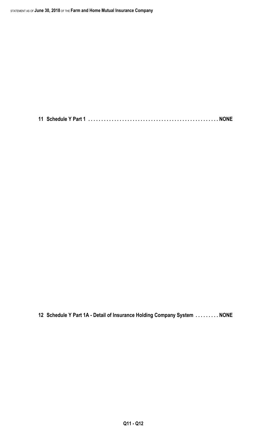**11 Schedule Y Part 1 . . . . . . . . . . . . . . . . . . . . . . . . . . . . . . . . . . . . . . . . . . . . . . . . . . NONE**

**12 Schedule Y Part 1A - Detail of Insurance Holding Company System . . . . . . . . . NONE**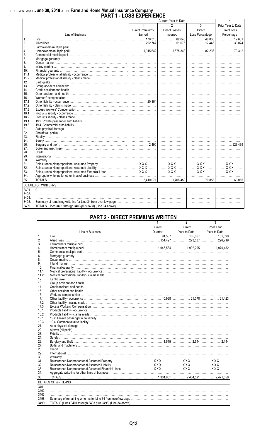# STATEMENT AS OF June 30, 2018 OF THE Farm and Home Mutual Insurance Company<br>PART 1 - LOSS EXPERIENCE

|            |                             | LVVV LAI LINLI         | Current Year to Date |                | 4                     |
|------------|-----------------------------|------------------------|----------------------|----------------|-----------------------|
|            |                             | $\mathbf{1}$           | $\mathfrak{p}$       | $\overline{3}$ | Prior Year to Date    |
|            |                             |                        |                      |                |                       |
|            |                             | <b>Direct Premiums</b> | Direct Losses        | Direct         | <b>Direct Loss</b>    |
|            | Line of Business            |                        |                      |                |                       |
| 1.         |                             |                        |                      |                |                       |
| 2.         |                             |                        |                      |                |                       |
| 3.         |                             |                        |                      |                |                       |
| 4.         |                             |                        |                      |                |                       |
| 5.         |                             |                        |                      |                |                       |
| 6.<br>8.   |                             |                        |                      |                |                       |
| 9.         |                             |                        |                      |                |                       |
| 10.        |                             |                        |                      |                |                       |
| 11.1       |                             |                        |                      |                |                       |
|            |                             |                        |                      |                |                       |
| 11.2       |                             |                        |                      |                |                       |
| 12.<br>13. |                             |                        |                      |                |                       |
| 14.        |                             |                        |                      |                |                       |
| 15.        |                             |                        |                      |                |                       |
| 16.        |                             |                        |                      |                |                       |
| 17.1       |                             |                        |                      |                |                       |
| 17.2       |                             |                        |                      |                |                       |
| 17.3       |                             |                        |                      |                |                       |
| 18.1       |                             |                        |                      |                |                       |
| 18.2       |                             |                        |                      |                |                       |
| 19.1       |                             |                        |                      |                |                       |
| 19.3       |                             |                        |                      |                |                       |
| 21.        |                             |                        |                      |                |                       |
| 22.        |                             |                        |                      |                |                       |
| 23.        |                             |                        |                      |                |                       |
| 24.        |                             |                        |                      |                |                       |
| 26.        |                             |                        |                      |                | $\frac{1}{2}$ 223.469 |
| 27.        |                             |                        |                      |                |                       |
| 28.        |                             |                        |                      |                |                       |
| 29.        |                             |                        |                      |                |                       |
| 30.        |                             |                        |                      |                |                       |
| 31.        |                             |                        |                      |                |                       |
| 32.        |                             |                        |                      |                |                       |
| 33.        |                             |                        |                      |                |                       |
| 34.        |                             |                        |                      |                |                       |
| 35.        |                             |                        |                      |                |                       |
|            | <b>DETAILS OF WRITE-INS</b> |                        |                      |                |                       |
| 3401.      |                             |                        |                      |                |                       |
| 3402.      |                             |                        |                      |                |                       |
| 3403.      |                             |                        |                      |                |                       |
| 3498.      |                             |                        |                      |                |                       |
|            |                             |                        |                      |                |                       |
| 3499.      |                             |                        |                      |                |                       |

## **PART 2 - DIRECT PREMIUMS WRITTEN**

|                 |                                                                                                                                                                                                                               |         | 2            | 3            |
|-----------------|-------------------------------------------------------------------------------------------------------------------------------------------------------------------------------------------------------------------------------|---------|--------------|--------------|
|                 |                                                                                                                                                                                                                               | Current | Current      | Prior Year   |
|                 |                                                                                                                                                                                                                               |         | Year to Date | Year to Date |
| $\mathbf{1}$    | Eine of Business Line of Cuarter Pear to Date Vear to Date Vear to Date Vear to Date Vear to Date Vear to Date Vear to Date Vear to Date Vear to Date City of the City of the City of the City of the City of the City of the |         |              |              |
| 2.              |                                                                                                                                                                                                                               |         |              |              |
| 3.              |                                                                                                                                                                                                                               |         |              |              |
| 4.              |                                                                                                                                                                                                                               |         |              |              |
| 5.              |                                                                                                                                                                                                                               |         |              |              |
| 6.              |                                                                                                                                                                                                                               |         |              |              |
| 8.              |                                                                                                                                                                                                                               |         |              |              |
| 9.              |                                                                                                                                                                                                                               |         |              |              |
| 10 <sup>1</sup> |                                                                                                                                                                                                                               |         |              |              |
| 11.1            |                                                                                                                                                                                                                               |         |              |              |
| 11.2            |                                                                                                                                                                                                                               |         |              |              |
| 12.             |                                                                                                                                                                                                                               |         |              |              |
| 13.             |                                                                                                                                                                                                                               |         |              |              |
| 14.             |                                                                                                                                                                                                                               |         |              |              |
| 15.             |                                                                                                                                                                                                                               |         |              |              |
| 16.             |                                                                                                                                                                                                                               |         |              |              |
| 17.1            |                                                                                                                                                                                                                               |         |              |              |
| 17.2            |                                                                                                                                                                                                                               |         |              |              |
| 17.3            |                                                                                                                                                                                                                               |         |              |              |
| 18.1            |                                                                                                                                                                                                                               |         |              |              |
| 18.2            |                                                                                                                                                                                                                               |         |              |              |
| 19.1            |                                                                                                                                                                                                                               |         |              |              |
| 19.3            |                                                                                                                                                                                                                               |         |              |              |
| 21.             |                                                                                                                                                                                                                               |         |              |              |
| 22.             |                                                                                                                                                                                                                               |         |              |              |
| 23.             |                                                                                                                                                                                                                               |         |              |              |
| 24.             |                                                                                                                                                                                                                               |         |              |              |
| 26.             |                                                                                                                                                                                                                               |         |              |              |
| 27.             |                                                                                                                                                                                                                               |         |              |              |
| 28.             |                                                                                                                                                                                                                               |         |              |              |
| 29.             |                                                                                                                                                                                                                               |         |              |              |
| 30.             |                                                                                                                                                                                                                               |         |              |              |
| 31.             |                                                                                                                                                                                                                               |         |              |              |
| 32.             |                                                                                                                                                                                                                               |         |              |              |
| 33.             |                                                                                                                                                                                                                               |         |              |              |
| 34.             |                                                                                                                                                                                                                               |         |              |              |
| 35.             |                                                                                                                                                                                                                               |         |              |              |
|                 | <b>DETAILS OF WRITE-INS</b>                                                                                                                                                                                                   |         |              |              |
| 3401.           |                                                                                                                                                                                                                               |         |              |              |
| 3402.           |                                                                                                                                                                                                                               |         |              |              |
| 3403.           |                                                                                                                                                                                                                               |         |              |              |
| 3498.           |                                                                                                                                                                                                                               |         |              |              |
| 3499.           |                                                                                                                                                                                                                               |         |              |              |
|                 |                                                                                                                                                                                                                               |         |              |              |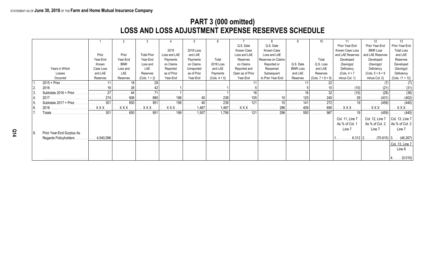## **PART 3 (000 omitted) LOSS AND LOSS ADJUSTMENT EXPENSE RESERVES SCHEDULE**

|      |                           |           |             | -3                 |              |             | -6                           |                  |                    |                                             |                     |                  | 12                  | 13                           |
|------|---------------------------|-----------|-------------|--------------------|--------------|-------------|------------------------------|------------------|--------------------|---------------------------------------------|---------------------|------------------|---------------------|------------------------------|
|      |                           |           |             |                    |              |             |                              | Q.S. Date        | Q.S. Date          |                                             |                     | Prior Year-End   | Prior Year-End      | Prior Year-End               |
|      |                           |           |             |                    | 2018         | 2018 Loss   |                              | Known Case       | Known Case         |                                             |                     | Known Case Loss  | <b>IBNR Loss</b>    | <b>Total Loss</b>            |
|      |                           | Prior     | Prior       | <b>Total Prior</b> | Loss and LAE | and LAE     |                              | Loss and LAE     | Loss and LAE       |                                             |                     | and LAE Reserves | and LAE Reserves    | and LAE                      |
|      |                           | Year-End  | Year-End    | Year-End           | Payments     | Payments    | Total                        | Reserves         | Reserves on Claims |                                             | Total               | Developed        | Developed           | Reserves                     |
|      |                           | Known     | <b>IBNR</b> | Loss and           | on Claims    | on Claims   | 2018 Loss                    | on Claims        | Reported or        | Q.S. Date                                   | Q.S. Loss           | (Savings)/       | (Savings)/          | Developed                    |
|      | Years in Which            | Case Loss | Loss and    | LAE                | Reported     | Unreported  | and LAE                      | Reported and     | Reopened           | <b>IBNR Loss</b>                            | and LAE             | Deficiency       | Deficiency          | (Savings)/                   |
|      | Losses                    | and LAE   | LAE         | Reserves           | as of Prior  | as of Prior | Payments                     | Open as of Prior | Subsequent         | and LAE                                     | Reserves            | $(Cols. 4 + 7)$  | $(Cols. 5 + 8 + 9)$ | Deficiency                   |
|      | Occurred                  | Reserves  | Reserves    | $(Cols. 1 + 2)$    | Year-End     | Year-End    | $(Cols. 4 + 5)$              | Year-End         | to Prior Year-End  | Reserves                                    | $(Cols. 7 + 8 + 9)$ | minus Col. 1)    | minus Col. 2)       | $(Cols. 11 + 12)$            |
|      | 2015 + Prior              |           |             |                    | .            | .           | .                            | .                |                    | . 11                                        | .                   |                  |                     |                              |
|      |                           |           |             | .                  | .            | .           | .                            | .                |                    | .                                           |                     | (10)             |                     |                              |
|      | Subtotals $2016 + Prior$  | 27        | 44          | 71                 |              |             |                              |                  |                    |                                             | .32 <sup>1</sup>    | . (10)           | . (28)              | . (38)                       |
|      |                           |           | . 606       | 880<br>.           | 198          | $\cdots$ 40 | 238                          | . 105            |                    | 125                                         | 240                 | . 29             | (431)<br>.          | . (402)                      |
| 15.  | Subtotals $2017 + Prior$  | . 301     | 650         | . 951              | . 199        | 40          | 239                          | 121              | . 10 $\vert$ .     | $\ldots$ $\ldots$ $\ldots$ $\overline{141}$ | 272                 |                  | (459)               | . (440)                      |
| l 6. |                           |           | <b>XXX</b>  | <b>XXX</b>         | <b>XXX</b> . | 1,467<br>.  | $\ldots \ldots \ldots 1,467$ | <b>XXX</b>       | 286<br>.           | 409                                         | 695<br>.            | <b>XXX</b>       | . X X X .           | $XXX$                        |
|      | Totals                    | 301       | 650         | 951                | . 199        | 1,507       | $\ldots \ldots 1,706$        | 121              | 296                | 550                                         | 967                 | $\ldots$ 191     | . (459)             | $\ldots \ldots \ldots (440)$ |
|      |                           |           |             |                    |              |             |                              |                  |                    |                                             |                     | Col. 11, Line 7  | Col. 12, Line 7     | $ $ Col. 13, Line 7          |
|      |                           |           |             |                    |              |             |                              |                  |                    |                                             |                     | As % of Col. 1   | As % of Col. 2      | As % of Col. 3               |
|      |                           |           |             |                    |              |             |                              |                  |                    |                                             |                     | Line 7           | Line 7              | Line 7                       |
| 8.   | Prior Year-End Surplus As |           |             |                    |              |             |                              |                  |                    |                                             |                     |                  |                     |                              |
|      | Regards Policyholders     | 4,540,096 |             |                    |              |             |                              |                  |                    |                                             |                     |                  | $6.312$   2.        | $(70.615)$ 3 $(46.267)$      |
|      |                           |           |             |                    |              |             |                              |                  |                    |                                             |                     |                  |                     | Col. 13, Line 7              |
|      |                           |           |             |                    |              |             |                              |                  |                    |                                             |                     |                  |                     | Line 8                       |
|      |                           |           |             |                    |              |             |                              |                  |                    |                                             |                     |                  |                     |                              |
|      |                           |           |             |                    |              |             |                              |                  |                    |                                             |                     |                  |                     | $ 4$ (0.010)                 |
|      |                           |           |             |                    |              |             |                              |                  |                    |                                             |                     |                  |                     |                              |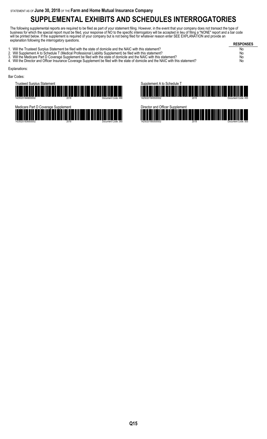# **SUPPLEMENTAL EXHIBITS AND SCHEDULES INTERROGATORIES**

The following supplemental reports are required to be filed as part of your statement filing. However, in the event that your company does not transact the type of business for which the special report must be filed, your response of NO to the specific interrogatory will be accepted in lieu of filing a "NONE" report and a bar code will be printed below. If the supplement is required of your company but is not being filed for whatever reason enter SEE EXPLANATION and provide an explanation following the interrogatory questions.

**RESPONSES** 1. Will the Trusteed Surplus Statement be filed with the state of domicile and the NAIC with this statement? No 2. Will Supplement A to Schedule T (Medical Professional Liability Supplement) be filed with this statement? No 3. Will the Medicare Part D Coverage Supplement be filed with the state of domicile and the NAIC with this statement? No 3. Will the Medicare Part D Coverage Supplement be filed with the state of domicile and the NAIC with this statement?<br>4. Will the Director and Officer Insurance Coverage Supplement be filed with the state of domicile and t Explanations: Bar Codes:







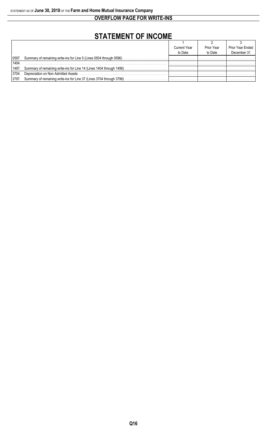**OVERFLOW PAGE FOR WRITE-INS**

# **STATEMENT OF INCOME**

|       |                                                                            | <b>Current Year</b> | Prior Year | Prior Year Ended |
|-------|----------------------------------------------------------------------------|---------------------|------------|------------------|
|       |                                                                            | to Date             | to Date    | December 31      |
|       | 0597. Summary of remaining write-ins for Line 5 (Lines 0504 through 0596). |                     |            |                  |
| 1404  |                                                                            |                     |            |                  |
|       | 1497. Summary of remaining write-ins for Line 14 (Lines 1404 through 1496) |                     |            |                  |
| 3704. | Depreciation on Non Admitted Assets                                        |                     |            |                  |
| 3797. | Summary of remaining write-ins for Line 37 (Lines 3704 through 3796)       |                     |            |                  |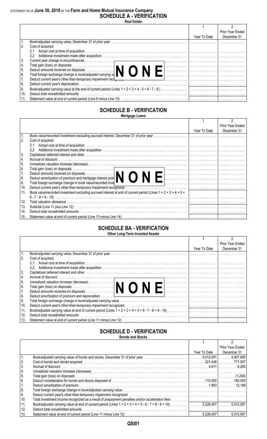## STATEMENT AS OF **June 30, 2018** OF THE **Farm and Home Mutual Insurance Company SCHEDULE A - VERIFICATION**

| ∗eai .<br>−<br>гs<br>79<br>СΗ |  |
|-------------------------------|--|
|-------------------------------|--|

|      |                                                                                                                                                                                                                                |              | Prior Year Ended |
|------|--------------------------------------------------------------------------------------------------------------------------------------------------------------------------------------------------------------------------------|--------------|------------------|
|      |                                                                                                                                                                                                                                | Year To Date | December 31      |
|      |                                                                                                                                                                                                                                |              |                  |
|      | Cost of acquired:                                                                                                                                                                                                              |              |                  |
|      | 2.1                                                                                                                                                                                                                            |              |                  |
|      | $2.2^{\circ}$                                                                                                                                                                                                                  |              |                  |
| 3.   |                                                                                                                                                                                                                                |              |                  |
| 4.   |                                                                                                                                                                                                                                |              |                  |
| 5.   |                                                                                                                                                                                                                                |              |                  |
| l 6. |                                                                                                                                                                                                                                |              |                  |
| 7.   | Deduct current year's other-than-temporary impairment recompanies contained and contained and contained and contained and contained and contained and contained and contained and contained and contained and contained and co |              |                  |
| 8.   | Deduct current year's depreciation                                                                                                                                                                                             |              |                  |
| 9.   |                                                                                                                                                                                                                                |              |                  |
| 10.  | Deduct total nonadmitted amounts                                                                                                                                                                                               |              |                  |
|      |                                                                                                                                                                                                                                |              |                  |

#### **SCHEDULE B - VERIFICATION Mortgage Loans**

|                  |                                                                                                                                                                                                                                |              | Prior Year Ended |
|------------------|--------------------------------------------------------------------------------------------------------------------------------------------------------------------------------------------------------------------------------|--------------|------------------|
|                  |                                                                                                                                                                                                                                | Year To Date | December 31      |
| $\overline{1}$ . | Book value/recorded investment excluding accrued interest, December 31 of prior year                                                                                                                                           |              |                  |
| <sup>2.</sup>    | Cost of acquired:                                                                                                                                                                                                              |              |                  |
|                  |                                                                                                                                                                                                                                |              |                  |
|                  | $2.2^{\circ}$                                                                                                                                                                                                                  |              |                  |
| 3.               | Capitalized deferred interest and other with the continuum control of the control of the control of the control of the control of the control of the control of the control of the control of the control of the control of th |              |                  |
| 4.               | Accrual of discount                                                                                                                                                                                                            |              |                  |
| 5.               |                                                                                                                                                                                                                                |              |                  |
| 6.               |                                                                                                                                                                                                                                |              |                  |
| 7.               | Deduct amounts received on disposals<br>Deduct amortization of premium and mortgage interest poin                                                                                                                              |              |                  |
| 8.               |                                                                                                                                                                                                                                |              |                  |
| 9.               | Total foreign exchange change in book value/recorded inve                                                                                                                                                                      |              |                  |
| 10.              |                                                                                                                                                                                                                                |              |                  |
| 11.              | Book value/recorded investment excluding accrued interest at end of current period (Lines $1 + 2 + 3 + 4 + 5 + 1$ )                                                                                                            |              |                  |
|                  |                                                                                                                                                                                                                                |              |                  |
| 12.              | Total valuation allowance with the continuum control of the control of the control of the control of the control of the control of the control of the control of the control of the control of the control of the control of t |              |                  |
| 13.              |                                                                                                                                                                                                                                |              |                  |
| 14.              |                                                                                                                                                                                                                                |              |                  |
| 15.              |                                                                                                                                                                                                                                |              |                  |

#### **SCHEDULE BA - VERIFICATION Other Long-Term Invested Assets**

|      |                                                                                                                                                            |              | Prior Year Ended |
|------|------------------------------------------------------------------------------------------------------------------------------------------------------------|--------------|------------------|
|      |                                                                                                                                                            | Year To Date | December 31      |
| 1.   |                                                                                                                                                            |              |                  |
| 2.   | Cost of acquired:                                                                                                                                          |              |                  |
|      | 2.1                                                                                                                                                        |              |                  |
|      | $2.2^{\circ}$                                                                                                                                              |              |                  |
| 3.   | Capitalized deferred interest and other www.communications.com/www.communications.com/www.communications.com/w                                             |              |                  |
| 4.   | Accrual of discount.                                                                                                                                       |              |                  |
| 15.  | Unrealized valuation increase (decrease)<br>Total gain (loss) on disposals<br>Deduct amounts received on disposals<br>Deduct amounts received on disposals |              |                  |
| l 6. |                                                                                                                                                            |              |                  |
| 7.   |                                                                                                                                                            |              |                  |
| 8.   | Deduct amortization of premium and depreciation <i>material content in the content of the content of premium and depreciation</i>                          |              |                  |
| l 9. |                                                                                                                                                            |              |                  |
| 10.  |                                                                                                                                                            |              |                  |
| 11.  |                                                                                                                                                            |              |                  |
| 12.  | Deduct total nonadmitted amounts                                                                                                                           |              |                  |
| 13.  |                                                                                                                                                            |              |                  |

#### **SCHEDULE D - VERIFICATION Bonds and Stocks**

|      | DUIIUS AIIU OLUUNS                                                                                                             |              |                  |
|------|--------------------------------------------------------------------------------------------------------------------------------|--------------|------------------|
|      |                                                                                                                                |              |                  |
|      |                                                                                                                                |              | Prior Year Ended |
|      |                                                                                                                                | Year To Date | December 31      |
|      | Book/adjusted carrying value of bonds and stocks, December 31 of prior year manufactured contract the temperature of 4,407,685 |              |                  |
| 2.   |                                                                                                                                |              |                  |
| 3.   |                                                                                                                                |              |                  |
| 4.   |                                                                                                                                |              |                  |
| 15.  |                                                                                                                                |              |                  |
| l 6. |                                                                                                                                |              |                  |
| 17.  |                                                                                                                                |              |                  |
| 8.   |                                                                                                                                |              |                  |
| l 9. |                                                                                                                                |              |                  |
| 10.  |                                                                                                                                |              |                  |
| 11.  |                                                                                                                                |              |                  |
| 12.  | Deduct total nonadmitted amounts                                                                                               |              |                  |
| 13.  |                                                                                                                                |              | 5.012.091        |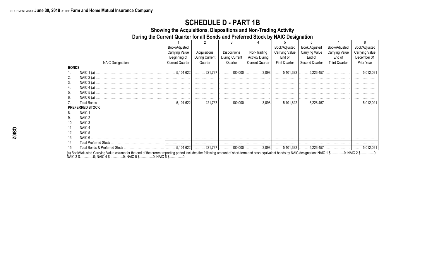## **SCHEDULE D - PART 1B**

Showing the Acquisitions, Dispositions and Non-Trading Activity

During the Current Quarter for all Bonds and Preferred Stock by NAIC Designation

|              |                         | Book/Adjusted          |                |                |                        | Book/Adjusted         | Book/Adjusted  | Book/Adjusted         | Book/Adjusted         |
|--------------|-------------------------|------------------------|----------------|----------------|------------------------|-----------------------|----------------|-----------------------|-----------------------|
|              |                         | <b>Carrying Value</b>  | Acquisitions   | Dispositions   | Non-Trading            | <b>Carrying Value</b> | Carrying Value | <b>Carrying Value</b> | <b>Carrying Value</b> |
|              |                         | Beginning of           | During Current | During Current | <b>Activity During</b> | End of                | End of         | End of                | December 31           |
|              | <b>NAIC Designation</b> | <b>Current Quarter</b> | Quarter        | Quarter        | <b>Current Quarter</b> | <b>First Quarter</b>  | Second Quarter | <b>Third Quarter</b>  | Prior Year            |
| <b>BONDS</b> |                         |                        |                |                |                        |                       |                |                       |                       |
| 1.           |                         |                        |                |                |                        |                       |                |                       |                       |
| 2.           | NAIC $2(a)$             |                        |                |                |                        |                       |                |                       |                       |
| 3.           |                         |                        |                |                |                        |                       |                |                       |                       |
| 4.           | NAIC $4(a)$ .           |                        |                |                |                        |                       |                |                       |                       |
| 5.           |                         |                        |                |                |                        |                       |                |                       |                       |
| 6.           | NAIC $6(a)$ .           |                        |                |                |                        |                       |                |                       |                       |
|              |                         |                        |                |                |                        |                       |                |                       |                       |
|              | <b>PREFERRED STOCK</b>  |                        |                |                |                        |                       |                |                       |                       |
| 8.           | NAIC 1                  |                        |                |                |                        |                       |                |                       |                       |
| <b>9.</b>    | NAIC 2                  |                        |                |                |                        |                       |                |                       |                       |
| 10.          | NAIC 3                  |                        |                |                |                        |                       |                |                       |                       |
| 11.          | NAIC <sub>4</sub>       |                        |                |                |                        |                       |                |                       |                       |
| 12.          | NAIC <sub>5</sub>       |                        |                |                |                        |                       |                |                       |                       |
| 13.          |                         |                        |                |                |                        |                       |                |                       |                       |
| 14.          |                         |                        |                |                |                        |                       |                |                       |                       |
| 15.          |                         |                        |                |                |                        |                       |                |                       |                       |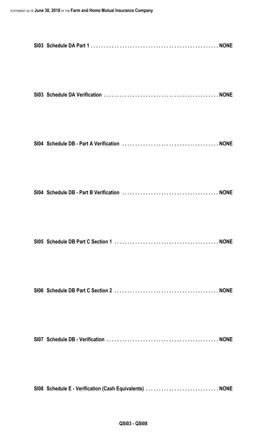| SI08 Schedule E - Verification (Cash Equivalents)  NONE |  |
|---------------------------------------------------------|--|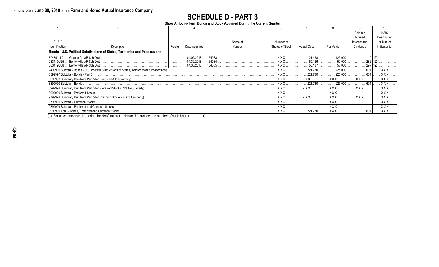# **SCHEDULE D - PART 3**

**Show All Long-Term Bonds and Stock Acquired During the Current Quarter**

|                              |                                                                                                 |            |               |         |                 |                    |            | Paid for         | <b>NAIC</b>  |
|------------------------------|-------------------------------------------------------------------------------------------------|------------|---------------|---------|-----------------|--------------------|------------|------------------|--------------|
|                              |                                                                                                 |            |               |         |                 |                    |            | Accrued          | Designation  |
| <b>CUSIP</b>                 |                                                                                                 |            |               | Name of | Number of       |                    |            | Interest and     | or Market    |
| Identification               | Description                                                                                     | Foreign    | Date Acquired | Vendor  | Shares of Stock | <b>Actual Cost</b> | Par Value  | <b>Dividends</b> | Indicator (a |
|                              | Bonds - U.S. Political Subdivisions of States, Territories and Possessions                      |            |               |         |                 |                    |            |                  |              |
| 394351LL2                    | Greene Co AR Sch Dist                                                                           |            | 04/02/2018    | 134083  | <b>XXX</b>      | 121 468            | 125.000    |                  |              |
| 083419U25                    | Bentonville AR Sch Dist                                                                         |            | 04/30/2018    | 134084  | <b>XXX</b>      | 50.126             |            | 286              |              |
| 083419U58.                   | Bentonville AR Sch Dist                                                                         |            | . 04/30/2018  | 134085  | <b>XXX</b>      | 50,137             |            | 297              |              |
|                              | 2499999 Subtotal - Bonds - U.S. Political Subdivisions of States, Territories and Possessions . | <b>XXX</b> | 221.730       | 225.000 |                 | XXX                |            |                  |              |
|                              | 8399997 Subtotal - Bonds - Part 3                                                               |            |               |         | <b>XXX</b>      | 221.730            | 225,000    |                  | XXX          |
|                              |                                                                                                 |            |               |         | <b>XXX</b>      | XXX                | <b>XXX</b> | <b>XXX</b>       | <b>XXX</b>   |
| l 8399999 Subtotal - Bonds . |                                                                                                 |            |               |         | <b>XXX</b>      | 221.730            | 225.000    | 601              | <b>XXX</b>   |
|                              |                                                                                                 |            |               |         | XXX             | <b>XXX</b>         | <b>XXX</b> | <b>XXX</b>       | <b>XXX</b>   |
|                              | l 8999999 Subtotal - Preferred Stocks                                                           |            |               |         | <b>XXX</b>      |                    | <b>XXX</b> |                  | <b>XXX</b>   |
|                              |                                                                                                 |            |               |         | <b>XXX</b>      | XXX                | <b>XXX</b> | <b>XXX</b>       | <b>XXX</b>   |
|                              | 9799999 Subtotal - Common Stocks                                                                |            |               |         | <b>XXX</b>      |                    | <b>XXX</b> |                  | <b>XXX</b>   |
|                              | 9899999 Subtotal - Preferred and Common Stocks                                                  |            |               |         | XXX             |                    | <b>XXX</b> |                  | XXX          |
|                              | 9999999 Total - Bonds. Preferred and Common Stocks                                              |            |               |         | <b>XXX</b>      | 221,730            | <b>XXX</b> | 601              | . X X X      |

(a) For all common stock bearing the NAIC market indicator "U" provide: the number of such issues ...............0.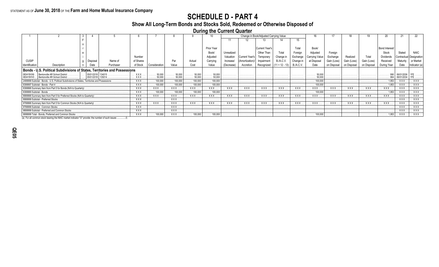## **SCHEDULE D - PART 4**

## **Show All Long-Term Bonds and Stocks Sold, Redeemed or Otherwise Disposed of**

**During the Current Quarter**

|                          |                                                                                               |                                                |           |           |                                   |                                 |                                           |                           |            |                | Change in Book/Adjusted Carrying Value |                  |                  |                         |             |            |             |                       |            |         |
|--------------------------|-----------------------------------------------------------------------------------------------|------------------------------------------------|-----------|-----------|-----------------------------------|---------------------------------|-------------------------------------------|---------------------------|------------|----------------|----------------------------------------|------------------|------------------|-------------------------|-------------|------------|-------------|-----------------------|------------|---------|
|                          |                                                                                               |                                                |           |           |                                   |                                 |                                           |                           |            |                |                                        |                  | 15               |                         |             |            |             |                       |            |         |
|                          |                                                                                               |                                                |           |           |                                   |                                 |                                           |                           |            |                |                                        |                  |                  |                         |             |            |             |                       |            |         |
|                          |                                                                                               |                                                |           |           |                                   |                                 |                                           | Prior Year                |            |                | ੇ⊔rrent Year's                         |                  | Total            | Book/                   |             |            |             | <b>Bond Interest</b>  |            |         |
|                          |                                                                                               |                                                |           |           |                                   |                                 |                                           | Book/                     | Unrealized |                | Other Than                             | Total            | Foreian          | Adjusted                | Foreign     |            |             | Stock                 |            |         |
|                          |                                                                                               |                                                |           | Number    |                                   |                                 |                                           | Adjusted                  | Valuation  | Current Year's | Temporarv                              | Change in        | Exchange         | Carrying Valu           | Exchange    | Realized   |             | <b>Dividends</b>      |            |         |
| <b>CUSIP</b>             |                                                                                               | Disposal                                       | Name of   | of Shares |                                   | Par                             | Actual                                    | Carrying                  | Increase/  | Amortization   | Imnairmen                              | <b>B./A.C.V.</b> | Change           | at Disposa              | Gain (Loss) |            | Gain (Loss) | Received              |            |         |
| Identification           | Description                                                                                   | Date                                           | Purchaser | of Stock  | Consideration                     | Value                           | Cost                                      | Value                     | (Decrease) | Accretion      | Recognized                             | $(11 + 12 - 13)$ | <b>B./A.C.V.</b> | Date                    | on Disposal | on Disposa | on Disposal | During Year           |            |         |
|                          | Bonds - U.S. Political Subdivisions of States, Territories and Possessions                    |                                                |           |           |                                   |                                 |                                           |                           |            |                |                                        |                  |                  |                         |             |            |             |                       |            |         |
|                          | Bentonville AR School District<br>083419VV0 .   Bentonville AR School District .              | 05/01/2018<br>$\ldots$   05/01/2018   135014 . |           | XXX.      | .50.000<br>$\ldots \ldots 50,000$ | 50,000<br>$\ldots 50,000$       | $\ldots \ldots 50,000$<br>$\ldots 50,000$ | 50,000<br>$\ldots 50.000$ | .          | .              |                                        | .                |                  |                         |             |            |             |                       | 06/01/2034 |         |
|                          | 2499999 Subtotal - Bonds - U.S. Political Subdivisions of States, Territories and Possessions |                                                |           | XXX       | . 100.000<br>.                    | 100,000                         | $\ldots$ . 100,000                        | 100,000                   | .          | . <b>.</b> .   | .                                      | .                | .                | 100,000                 | .           | .          | .           | 1.953<br>.            | XXX        | XXX     |
|                          | 8399997 Subtotal - Bonds - Part 4                                                             |                                                |           | XXX       | $\ldots$ . 100,000                | $\ldots$ . 100,000              | $\ldots$ . 100,000                        | $\ldots$ 100,000          | .          | .              | .                                      | .                |                  | $\ldots$ 100,000        | .           |            |             | 1,953<br>.            | . XXX.     | XXX     |
|                          |                                                                                               |                                                |           | XXX       | XXX.                              | . XXX                           | $\ldots$ XXX.                             | . XXX.                    | XXX.       | <b>XXX</b> .   | XXX                                    | XXX .            | . XXX            | XXX                     | XXX.        | XXX.       | XXX .       | . . XXX               | . XXX      | XXX     |
| 8399999 Subtotal - Bonds |                                                                                               |                                                |           | XXX       | $\ldots$ 100,000                  | $\ldots \ldots 100,000$         | $\ldots$ . 100,000                        | $\ldots$ 100,000          | .          | .              | .                                      | .                | .                | 100,000                 | .           | .          | .           | . 1,953               | XXX        | XXX     |
|                          | 8999998 Summary Item from Part 5 for Preferred Stocks (N/A to Quarterly)                      |                                                |           | XXX       | XXX                               | <b>XXX</b> .                    | XXX                                       | XXX .                     | XXX .      | XXX .          | XXX .                                  | <b>XXX</b> .     | XXX .            | <b>XXX</b> .            | XXX.        | XXX        | XXX .       | XXX.                  | . XXX      | XXX     |
|                          | 8999999 Subtotal - Preferred Stocks.                                                          |                                                |           | XXX       | .                                 | . XXX .                         |                                           |                           |            |                |                                        |                  |                  |                         |             |            |             | .                     | <b>XXX</b> | XXX     |
|                          | 9799998 Summary Item from Part 5 for Common Stocks (N/A to Quarterly)                         |                                                |           | XXX       | XXX .                             | XXX .                           | XXX .                                     | XXX .                     | XXX .      | XXX.           | XXX                                    | XXX .            | . XXX            | XXX .                   | XXX.        | XXX        | XXX .       | XXX                   | <b>XXX</b> | XXX     |
|                          | 9799999 Subtotal - Common Stocks                                                              |                                                |           | XXX       | .                                 | . XXX                           | .                                         | .                         | .          | .              | .                                      | .                |                  |                         |             |            |             | .                     | . XXX      | XXX     |
|                          | 9899999 Subtotal - Preferred and Common Stocks                                                |                                                |           | XXX.      | .                                 | . XXX                           |                                           |                           |            |                |                                        |                  |                  |                         |             |            |             | .                     | <b>XXX</b> | XXX.    |
|                          | 9999999 Total - Bonds, Preferred and Common Stocks                                            |                                                |           | XXX       |                                   | $\ldots$ . 100,000 $\ldots$ XXX |                                           |                           |            |                | .                                      | .                | .                | $\ldots \ldots 100,000$ |             |            | .           | $\ldots \ldots 1,953$ | . XXX      | . XXX . |

(a) For all common stock bearing the NAIC market indicator "U" provide: the number of such issues ...............0.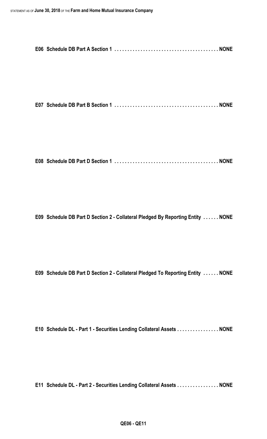**E07 Schedule DB Part B Section 1 . . . . . . . . . . . . . . . . . . . . . . . . . . . . . . . . . . . . . . . . NONE**

**E08 Schedule DB Part D Section 1 . . . . . . . . . . . . . . . . . . . . . . . . . . . . . . . . . . . . . . . . NONE**

**E09 Schedule DB Part D Section 2 - Collateral Pledged By Reporting Entity . . . . . . NONE**

**E09 Schedule DB Part D Section 2 - Collateral Pledged To Reporting Entity . . . . . . NONE**

**E10 Schedule DL - Part 1 - Securities Lending Collateral Assets . . . . . . . . . . . . . . . . NONE**

**E11 Schedule DL - Part 2 - Securities Lending Collateral Assets . . . . . . . . . . . . . . . . NONE**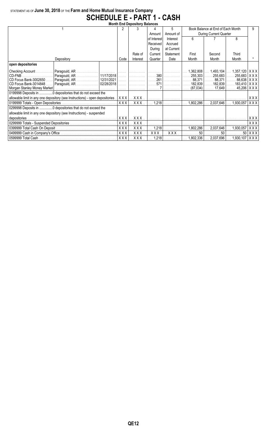## STATEMENT AS OF **June 30, 2018** OF THE **Farm and Home Mutual Insurance Company SCHEDULE E - PART 1 - CASH**

| <b>Month End Depository Balances</b> |                                                                              |  |             |                               |          |            |                        |                                                                                     |                            |     |  |
|--------------------------------------|------------------------------------------------------------------------------|--|-------------|-------------------------------|----------|------------|------------------------|-------------------------------------------------------------------------------------|----------------------------|-----|--|
|                                      |                                                                              |  | 2           |                               |          | 5          |                        | Book Balance at End of Each Month                                                   |                            |     |  |
|                                      |                                                                              |  |             |                               | Amount   | Amount of  | During Current Quarter |                                                                                     |                            |     |  |
|                                      |                                                                              |  | of Interest | Interest                      | ĥ        |            | 8                      |                                                                                     |                            |     |  |
|                                      |                                                                              |  |             |                               | Received | Accrued    |                        |                                                                                     |                            |     |  |
|                                      |                                                                              |  |             |                               | During   | at Current |                        |                                                                                     |                            |     |  |
|                                      |                                                                              |  |             | Rate of                       | Current  | Statement  | First                  | Second                                                                              | Third                      |     |  |
|                                      | Depository                                                                   |  | Code        | Interest                      | Quarter  | Date       | Month                  | Month                                                                               | Month                      |     |  |
| open depositories                    |                                                                              |  |             |                               |          |            |                        |                                                                                     |                            |     |  |
| Checking Account                     |                                                                              |  |             |                               |          |            | 362,808,               | …. 1,493,104│                                                                       | 1,357,120   X X X          |     |  |
| CD-FNB                               | Paragould, AR    11/17/2018          380                                     |  |             |                               |          | .          | 255,303                |                                                                                     | 255,683    255,683   X X X |     |  |
| CD Focus Bank-3002650                |                                                                              |  |             |                               |          |            |                        | $88,371$    88,371    88,638   X X X                                                |                            |     |  |
| CD Focus Bank-3014848                |                                                                              |  | .           |                               | 571      |            | 182.839                | ……. 182.839丨                                                                        | 183,410   X X X  <br>.     |     |  |
|                                      |                                                                              |  |             |                               |          |            | (87,034)               | 17.649                                                                              | 45,206                     | XXX |  |
|                                      | 0199998 Deposits in  0 depositories that do not exceed the                   |  |             |                               |          |            |                        |                                                                                     |                            |     |  |
|                                      | allowable limit in any one depository (see Instructions) - open depositories |  | XXX         | X X X . <i>.</i> .            |          |            |                        |                                                                                     |                            | XXX |  |
|                                      |                                                                              |  | XXX         | $XXX$                         |          | $1,218$    | 1,802,286              | 2.037.646                                                                           | 1,930,057                  | XXX |  |
|                                      | 0299998 Deposits in 0 depositories that do not exceed the                    |  |             |                               |          |            |                        |                                                                                     |                            |     |  |
|                                      | allowable limit in any one depository (see Instructions) - suspended         |  |             |                               |          |            |                        |                                                                                     |                            |     |  |
| depositories.                        |                                                                              |  | XXX         | $XXX$                         |          |            | . 1                    |                                                                                     |                            | XXX |  |
|                                      |                                                                              |  | XXX         | XXX.                          |          |            | .                      |                                                                                     |                            | XXX |  |
|                                      |                                                                              |  | <b>XXX</b>  | XXX.                          | 1,218    | .          | 1,802,286              | 2,037,646                                                                           | $\ldots$ 1,930,057         | XXX |  |
|                                      |                                                                              |  | <b>XXX</b>  | XXX.                          | XXX.     | $XXX$      | 50                     | 50                                                                                  | 50 <sup>1</sup>            | XXX |  |
|                                      |                                                                              |  |             | $XXX$ $\ldots$ $XXX$ $\ldots$ |          |            |                        | 1,218 $\vert$ $\vert$ 1,802,336 $\vert$ 2,037,696 $\vert$ 1,930,107   X X X $\vert$ |                            |     |  |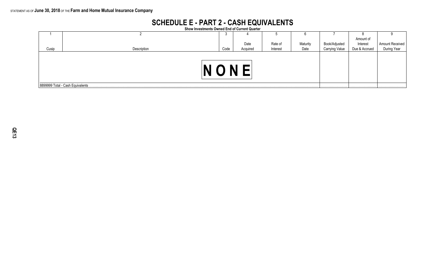## **SCHEDULE E - PART 2 - CASH EQUIVALENTS**

**Show Investments Owned End of Current Quarter**

|       |                                  | ັບ   |          |          |          |                       |               |                 |  |
|-------|----------------------------------|------|----------|----------|----------|-----------------------|---------------|-----------------|--|
|       |                                  |      |          |          |          |                       | Amount of     |                 |  |
|       |                                  |      | Date     | Rate of  | Maturity | Book/Adjusted         | Interest      | Amount Received |  |
| Cusip | Description                      | Code | Acquired | Interest | Date     | <b>Carrying Value</b> | Due & Accrued |                 |  |
|       |                                  |      |          |          |          |                       |               |                 |  |
|       | 8899999 Total - Cash Equivalents |      |          |          |          |                       |               |                 |  |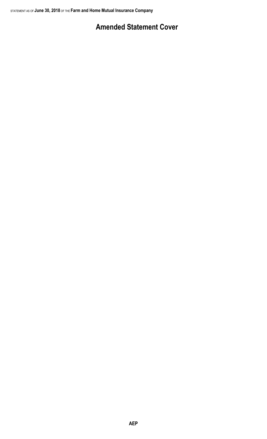# **Amended Statement Cover**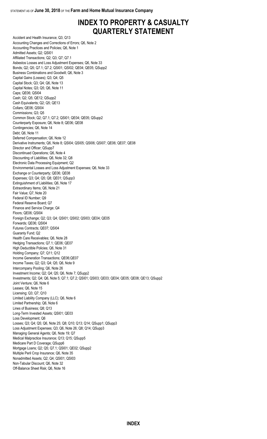## **INDEX TO PROPERTY & CASUALTY QUARTERLY STATEMENT**

Accident and Health Insurance; Q3; Q13 Accounting Changes and Corrections of Errors; Q6, Note 2 Accounting Practices and Policies; Q6, Note 1 Admitted Assets; Q2; QSI01 Affiliated Transactions; Q2; Q3; Q7; Q7.1 Asbestos Losses and Loss Adjustment Expenses; Q6, Note 33 Bonds; Q2; Q5; Q7.1; Q7.2; QSI01; QSI02; QE04; QE05; QSupp2 Business Combinations and Goodwill; Q6, Note 3 Capital Gains (Losses); Q3; Q4; Q5 Capital Stock; Q3; Q4; Q6, Note 13 Capital Notes; Q3; Q5; Q6, Note 11 Caps; QE06; QSI04 Cash; Q2; Q5; QE12; QSupp2 Cash Equivalents; Q2; Q5; QE13 Collars; QE06; QSI04 Commissions; Q3; Q5 Common Stock; Q2; Q7.1; Q7.2; QSI01; QE04; QE05; QSupp2 Counterparty Exposure; Q6, Note 8; QE06; QE08 Contingencies; Q6, Note 14 Debt; Q6, Note 11 Deferred Compensation; Q6, Note 12 Derivative Instruments; Q6, Note 8; QSI04; QSI05; QSI06; QSI07; QE06; QE07; QE08 Director and Officer; QSupp7 Discontinued Operations; Q6, Note 4 Discounting of Liabilities; Q6, Note 32; Q8 Electronic Data Processing Equipment; Q2 Environmental Losses and Loss Adjustment Expenses; Q6, Note 33 Exchange or Counterparty; QE06; QE08 Expenses; Q3; Q4; Q5; Q8; QE01; QSupp3 Extinguishment of Liabilities; Q6, Note 17 Extraordinary Items; Q6, Note 21 Fair Value; Q7, Note 20 Federal ID Number; Q9 Federal Reserve Board; Q7 Finance and Service Charge; Q4 Floors; QE06; QSI04 Foreign Exchange; Q2; Q3; Q4; QSI01; QSI02; QSI03; QE04; QE05 Forwards; QE06; QSI04 Futures Contracts; QE07; QSI04 Guaranty Fund; Q2 Health Care Receivables; Q6, Note 28 Hedging Transactions; Q7.1; QE06; QE07 High Deductible Policies; Q6, Note 31 Holding Company; Q7; Q11; Q12 Income Generation Transactions; QE06;QE07 Income Taxes; Q2; Q3; Q4; Q5; Q6, Note 9 Intercompany Pooling; Q6, Note 26 Investment Income; Q2; Q4; Q5; Q6, Note 7; QSupp2 Investments; Q2; Q4; Q6, Note 5; Q7.1; Q7.2; QSI01; QSI03; QE03; QE04; QE05; QE08; QE13; QSupp2 Joint Venture; Q6, Note 6 Leases; Q6, Note 15 Licensing; Q3; Q7; Q10 Limited Liability Company (LLC); Q6, Note 6 Limited Partnership; Q6, Note 6 Lines of Business; Q8; Q13 Long-Term Invested Assets; QSI01; QE03 Loss Development; Q6 Losses; Q3; Q4; Q5; Q6, Note 25; Q8; Q10; Q13; Q14; QSupp1; QSupp3 Loss Adjustment Expenses; Q3; Q6, Note 26; Q8; Q14; QSupp3 Managing General Agents; Q6, Note 19; Q7 Medical Malpractice Insurance; Q13; Q15; QSupp5 Medicare Part D Coverage; QSupp6 Mortgage Loans; Q2; Q5; Q7.1; QSI01; QE02; QSupp2 Multiple Peril Crop Insurance; Q6, Note 35 Nonadmitted Assets; Q2; Q4; QSI01; QSI03 Non-Tabular Discount; Q6, Note 32 Off-Balance Sheet Risk; Q6, Note 16